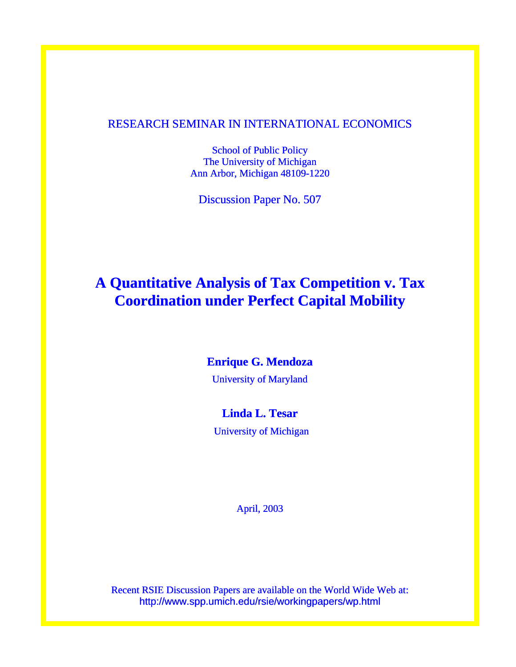# RESEARCH SEMINAR IN INTERNATIONAL ECONOMICS

School of Public Policy The University of Michigan Ann Arbor, Michigan 48109-1220

Discussion Paper No. 507

# **A Quantitative Analysis of Tax Competition v. Tax Coordination under Perfect Capital Mobility**

# **Enrique G. Mendoza**

University of Maryland

# **Linda L. Tesar**

University of Michigan

April, 2003

Recent RSIE Discussion Papers are available on the World Wide Web at: http://www.spp.umich.edu/rsie/workingpapers/wp.html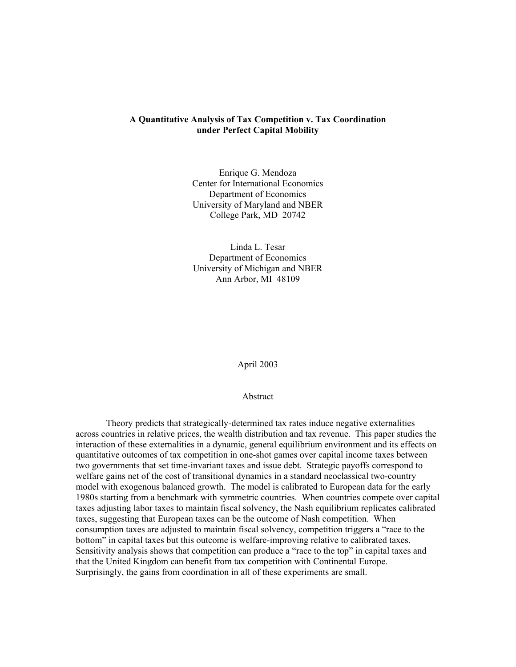# **A Quantitative Analysis of Tax Competition v. Tax Coordination under Perfect Capital Mobility**

Enrique G. Mendoza Center for International Economics Department of Economics University of Maryland and NBER College Park, MD 20742

Linda L. Tesar Department of Economics University of Michigan and NBER Ann Arbor, MI 48109

April 2003

Abstract

Theory predicts that strategically-determined tax rates induce negative externalities across countries in relative prices, the wealth distribution and tax revenue. This paper studies the interaction of these externalities in a dynamic, general equilibrium environment and its effects on quantitative outcomes of tax competition in one-shot games over capital income taxes between two governments that set time-invariant taxes and issue debt. Strategic payoffs correspond to welfare gains net of the cost of transitional dynamics in a standard neoclassical two-country model with exogenous balanced growth. The model is calibrated to European data for the early 1980s starting from a benchmark with symmetric countries. When countries compete over capital taxes adjusting labor taxes to maintain fiscal solvency, the Nash equilibrium replicates calibrated taxes, suggesting that European taxes can be the outcome of Nash competition. When consumption taxes are adjusted to maintain fiscal solvency, competition triggers a "race to the bottom" in capital taxes but this outcome is welfare-improving relative to calibrated taxes. Sensitivity analysis shows that competition can produce a "race to the top" in capital taxes and that the United Kingdom can benefit from tax competition with Continental Europe. Surprisingly, the gains from coordination in all of these experiments are small.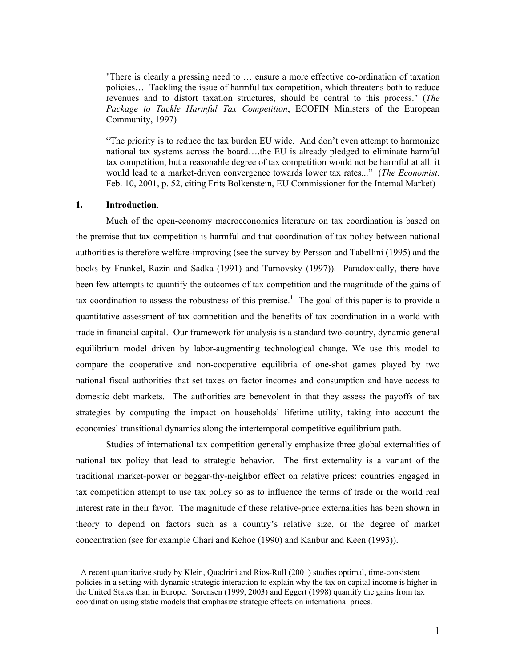"There is clearly a pressing need to … ensure a more effective co-ordination of taxation policies… Tackling the issue of harmful tax competition, which threatens both to reduce revenues and to distort taxation structures, should be central to this process." (*The Package to Tackle Harmful Tax Competition*, ECOFIN Ministers of the European Community, 1997)

"The priority is to reduce the tax burden EU wide. And don't even attempt to harmonize national tax systems across the board….the EU is already pledged to eliminate harmful tax competition, but a reasonable degree of tax competition would not be harmful at all: it would lead to a market-driven convergence towards lower tax rates..." (*The Economist*, Feb. 10, 2001, p. 52, citing Frits Bolkenstein, EU Commissioner for the Internal Market)

# **1. Introduction**.

Much of the open-economy macroeconomics literature on tax coordination is based on the premise that tax competition is harmful and that coordination of tax policy between national authorities is therefore welfare-improving (see the survey by Persson and Tabellini (1995) and the books by Frankel, Razin and Sadka (1991) and Turnovsky (1997)). Paradoxically, there have been few attempts to quantify the outcomes of tax competition and the magnitude of the gains of tax coordination to assess the robustness of this premise.<sup>[1](#page-2-0)</sup> The goal of this paper is to provide a quantitative assessment of tax competition and the benefits of tax coordination in a world with trade in financial capital. Our framework for analysis is a standard two-country, dynamic general equilibrium model driven by labor-augmenting technological change. We use this model to compare the cooperative and non-cooperative equilibria of one-shot games played by two national fiscal authorities that set taxes on factor incomes and consumption and have access to domestic debt markets. The authorities are benevolent in that they assess the payoffs of tax strategies by computing the impact on households' lifetime utility, taking into account the economies' transitional dynamics along the intertemporal competitive equilibrium path.

Studies of international tax competition generally emphasize three global externalities of national tax policy that lead to strategic behavior. The first externality is a variant of the traditional market-power or beggar-thy-neighbor effect on relative prices: countries engaged in tax competition attempt to use tax policy so as to influence the terms of trade or the world real interest rate in their favor. The magnitude of these relative-price externalities has been shown in theory to depend on factors such as a country's relative size, or the degree of market concentration (see for example Chari and Kehoe (1990) and Kanbur and Keen (1993)).

<span id="page-2-0"></span><sup>&</sup>lt;sup>1</sup> A recent quantitative study by Klein, Quadrini and Rios-Rull (2001) studies optimal, time-consistent policies in a setting with dynamic strategic interaction to explain why the tax on capital income is higher in the United States than in Europe. Sorensen (1999, 2003) and Eggert (1998) quantify the gains from tax coordination using static models that emphasize strategic effects on international prices.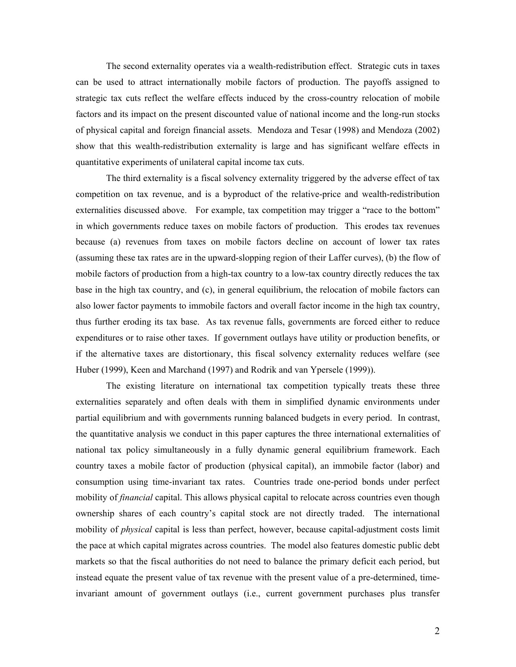The second externality operates via a wealth-redistribution effect. Strategic cuts in taxes can be used to attract internationally mobile factors of production. The payoffs assigned to strategic tax cuts reflect the welfare effects induced by the cross-country relocation of mobile factors and its impact on the present discounted value of national income and the long-run stocks of physical capital and foreign financial assets. Mendoza and Tesar (1998) and Mendoza (2002) show that this wealth-redistribution externality is large and has significant welfare effects in quantitative experiments of unilateral capital income tax cuts.

The third externality is a fiscal solvency externality triggered by the adverse effect of tax competition on tax revenue, and is a byproduct of the relative-price and wealth-redistribution externalities discussed above. For example, tax competition may trigger a "race to the bottom" in which governments reduce taxes on mobile factors of production. This erodes tax revenues because (a) revenues from taxes on mobile factors decline on account of lower tax rates (assuming these tax rates are in the upward-slopping region of their Laffer curves), (b) the flow of mobile factors of production from a high-tax country to a low-tax country directly reduces the tax base in the high tax country, and (c), in general equilibrium, the relocation of mobile factors can also lower factor payments to immobile factors and overall factor income in the high tax country, thus further eroding its tax base. As tax revenue falls, governments are forced either to reduce expenditures or to raise other taxes. If government outlays have utility or production benefits, or if the alternative taxes are distortionary, this fiscal solvency externality reduces welfare (see Huber (1999), Keen and Marchand (1997) and Rodrik and van Ypersele (1999)).

The existing literature on international tax competition typically treats these three externalities separately and often deals with them in simplified dynamic environments under partial equilibrium and with governments running balanced budgets in every period. In contrast, the quantitative analysis we conduct in this paper captures the three international externalities of national tax policy simultaneously in a fully dynamic general equilibrium framework. Each country taxes a mobile factor of production (physical capital), an immobile factor (labor) and consumption using time-invariant tax rates. Countries trade one-period bonds under perfect mobility of *financial* capital. This allows physical capital to relocate across countries even though ownership shares of each country's capital stock are not directly traded. The international mobility of *physical* capital is less than perfect, however, because capital-adjustment costs limit the pace at which capital migrates across countries. The model also features domestic public debt markets so that the fiscal authorities do not need to balance the primary deficit each period, but instead equate the present value of tax revenue with the present value of a pre-determined, timeinvariant amount of government outlays (i.e., current government purchases plus transfer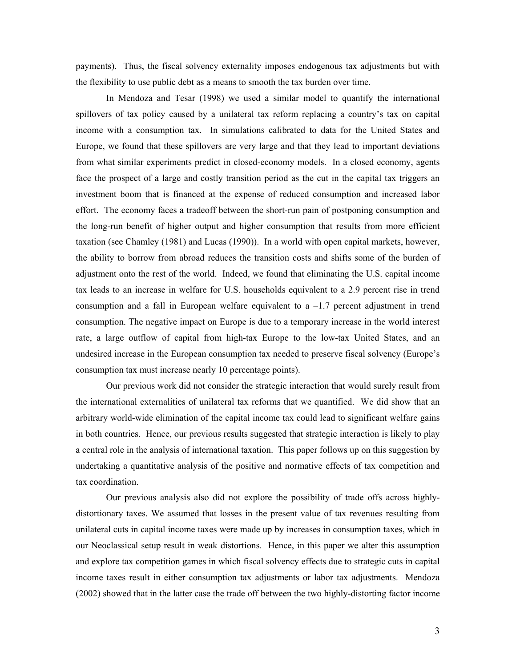payments). Thus, the fiscal solvency externality imposes endogenous tax adjustments but with the flexibility to use public debt as a means to smooth the tax burden over time.

In Mendoza and Tesar (1998) we used a similar model to quantify the international spillovers of tax policy caused by a unilateral tax reform replacing a country's tax on capital income with a consumption tax. In simulations calibrated to data for the United States and Europe, we found that these spillovers are very large and that they lead to important deviations from what similar experiments predict in closed-economy models. In a closed economy, agents face the prospect of a large and costly transition period as the cut in the capital tax triggers an investment boom that is financed at the expense of reduced consumption and increased labor effort. The economy faces a tradeoff between the short-run pain of postponing consumption and the long-run benefit of higher output and higher consumption that results from more efficient taxation (see Chamley (1981) and Lucas (1990)). In a world with open capital markets, however, the ability to borrow from abroad reduces the transition costs and shifts some of the burden of adjustment onto the rest of the world. Indeed, we found that eliminating the U.S. capital income tax leads to an increase in welfare for U.S. households equivalent to a 2.9 percent rise in trend consumption and a fall in European welfare equivalent to  $a -1.7$  percent adjustment in trend consumption. The negative impact on Europe is due to a temporary increase in the world interest rate, a large outflow of capital from high-tax Europe to the low-tax United States, and an undesired increase in the European consumption tax needed to preserve fiscal solvency (Europe's consumption tax must increase nearly 10 percentage points).

Our previous work did not consider the strategic interaction that would surely result from the international externalities of unilateral tax reforms that we quantified. We did show that an arbitrary world-wide elimination of the capital income tax could lead to significant welfare gains in both countries. Hence, our previous results suggested that strategic interaction is likely to play a central role in the analysis of international taxation. This paper follows up on this suggestion by undertaking a quantitative analysis of the positive and normative effects of tax competition and tax coordination.

Our previous analysis also did not explore the possibility of trade offs across highlydistortionary taxes. We assumed that losses in the present value of tax revenues resulting from unilateral cuts in capital income taxes were made up by increases in consumption taxes, which in our Neoclassical setup result in weak distortions. Hence, in this paper we alter this assumption and explore tax competition games in which fiscal solvency effects due to strategic cuts in capital income taxes result in either consumption tax adjustments or labor tax adjustments. Mendoza (2002) showed that in the latter case the trade off between the two highly-distorting factor income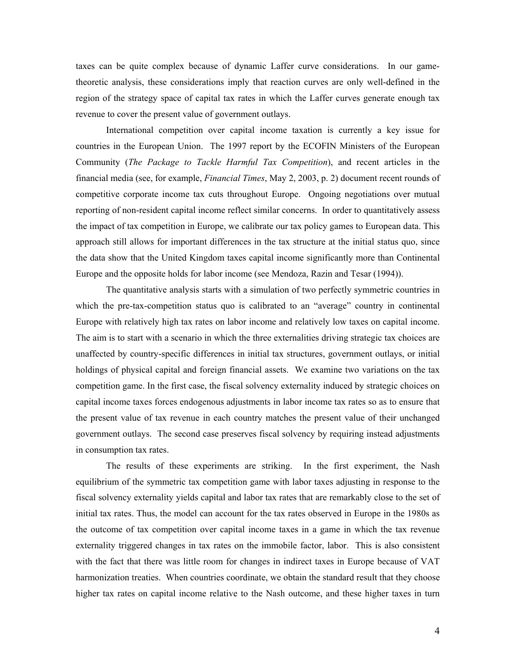taxes can be quite complex because of dynamic Laffer curve considerations. In our gametheoretic analysis, these considerations imply that reaction curves are only well-defined in the region of the strategy space of capital tax rates in which the Laffer curves generate enough tax revenue to cover the present value of government outlays.

International competition over capital income taxation is currently a key issue for countries in the European Union. The 1997 report by the ECOFIN Ministers of the European Community (*The Package to Tackle Harmful Tax Competition*), and recent articles in the financial media (see, for example, *Financial Times*, May 2, 2003, p. 2) document recent rounds of competitive corporate income tax cuts throughout Europe. Ongoing negotiations over mutual reporting of non-resident capital income reflect similar concerns. In order to quantitatively assess the impact of tax competition in Europe, we calibrate our tax policy games to European data. This approach still allows for important differences in the tax structure at the initial status quo, since the data show that the United Kingdom taxes capital income significantly more than Continental Europe and the opposite holds for labor income (see Mendoza, Razin and Tesar (1994)).

The quantitative analysis starts with a simulation of two perfectly symmetric countries in which the pre-tax-competition status quo is calibrated to an "average" country in continental Europe with relatively high tax rates on labor income and relatively low taxes on capital income. The aim is to start with a scenario in which the three externalities driving strategic tax choices are unaffected by country-specific differences in initial tax structures, government outlays, or initial holdings of physical capital and foreign financial assets. We examine two variations on the tax competition game. In the first case, the fiscal solvency externality induced by strategic choices on capital income taxes forces endogenous adjustments in labor income tax rates so as to ensure that the present value of tax revenue in each country matches the present value of their unchanged government outlays. The second case preserves fiscal solvency by requiring instead adjustments in consumption tax rates.

The results of these experiments are striking. In the first experiment, the Nash equilibrium of the symmetric tax competition game with labor taxes adjusting in response to the fiscal solvency externality yields capital and labor tax rates that are remarkably close to the set of initial tax rates. Thus, the model can account for the tax rates observed in Europe in the 1980s as the outcome of tax competition over capital income taxes in a game in which the tax revenue externality triggered changes in tax rates on the immobile factor, labor. This is also consistent with the fact that there was little room for changes in indirect taxes in Europe because of VAT harmonization treaties. When countries coordinate, we obtain the standard result that they choose higher tax rates on capital income relative to the Nash outcome, and these higher taxes in turn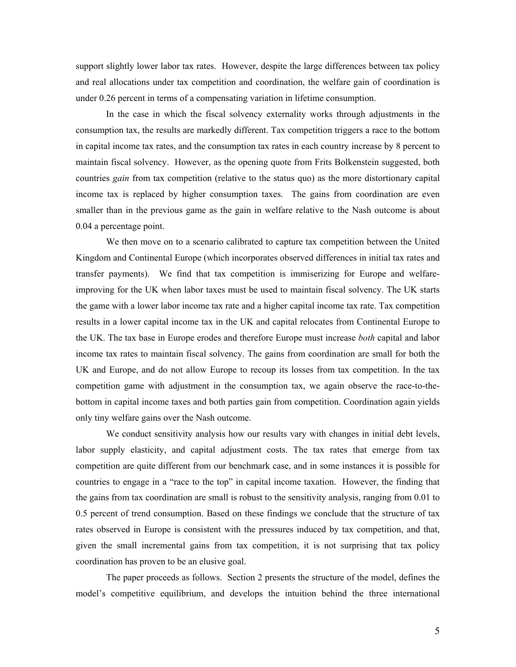support slightly lower labor tax rates. However, despite the large differences between tax policy and real allocations under tax competition and coordination, the welfare gain of coordination is under 0.26 percent in terms of a compensating variation in lifetime consumption.

In the case in which the fiscal solvency externality works through adjustments in the consumption tax, the results are markedly different. Tax competition triggers a race to the bottom in capital income tax rates, and the consumption tax rates in each country increase by 8 percent to maintain fiscal solvency. However, as the opening quote from Frits Bolkenstein suggested, both countries *gain* from tax competition (relative to the status quo) as the more distortionary capital income tax is replaced by higher consumption taxes. The gains from coordination are even smaller than in the previous game as the gain in welfare relative to the Nash outcome is about 0.04 a percentage point.

We then move on to a scenario calibrated to capture tax competition between the United Kingdom and Continental Europe (which incorporates observed differences in initial tax rates and transfer payments). We find that tax competition is immiserizing for Europe and welfareimproving for the UK when labor taxes must be used to maintain fiscal solvency. The UK starts the game with a lower labor income tax rate and a higher capital income tax rate. Tax competition results in a lower capital income tax in the UK and capital relocates from Continental Europe to the UK. The tax base in Europe erodes and therefore Europe must increase *both* capital and labor income tax rates to maintain fiscal solvency. The gains from coordination are small for both the UK and Europe, and do not allow Europe to recoup its losses from tax competition. In the tax competition game with adjustment in the consumption tax, we again observe the race-to-thebottom in capital income taxes and both parties gain from competition. Coordination again yields only tiny welfare gains over the Nash outcome.

We conduct sensitivity analysis how our results vary with changes in initial debt levels, labor supply elasticity, and capital adjustment costs. The tax rates that emerge from tax competition are quite different from our benchmark case, and in some instances it is possible for countries to engage in a "race to the top" in capital income taxation. However, the finding that the gains from tax coordination are small is robust to the sensitivity analysis, ranging from 0.01 to 0.5 percent of trend consumption. Based on these findings we conclude that the structure of tax rates observed in Europe is consistent with the pressures induced by tax competition, and that, given the small incremental gains from tax competition, it is not surprising that tax policy coordination has proven to be an elusive goal.

The paper proceeds as follows. Section 2 presents the structure of the model, defines the model's competitive equilibrium, and develops the intuition behind the three international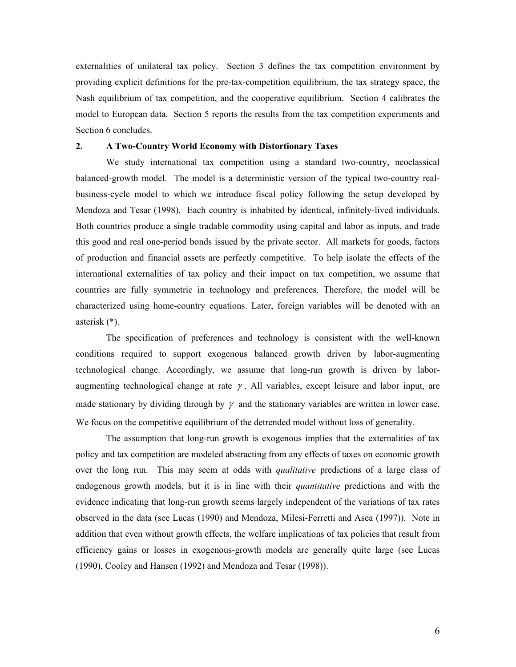externalities of unilateral tax policy. Section 3 defines the tax competition environment by providing explicit definitions for the pre-tax-competition equilibrium, the tax strategy space, the Nash equilibrium of tax competition, and the cooperative equilibrium. Section 4 calibrates the model to European data. Section 5 reports the results from the tax competition experiments and Section 6 concludes.

#### **2. A Two-Country World Economy with Distortionary Taxes**

We study international tax competition using a standard two-country, neoclassical balanced-growth model. The model is a deterministic version of the typical two-country realbusiness-cycle model to which we introduce fiscal policy following the setup developed by Mendoza and Tesar (1998). Each country is inhabited by identical, infinitely-lived individuals. Both countries produce a single tradable commodity using capital and labor as inputs, and trade this good and real one-period bonds issued by the private sector. All markets for goods, factors of production and financial assets are perfectly competitive. To help isolate the effects of the international externalities of tax policy and their impact on tax competition, we assume that countries are fully symmetric in technology and preferences. Therefore, the model will be characterized using home-country equations. Later, foreign variables will be denoted with an asterisk (\*).

The specification of preferences and technology is consistent with the well-known conditions required to support exogenous balanced growth driven by labor-augmenting technological change. Accordingly, we assume that long-run growth is driven by laboraugmenting technological change at rate  $\gamma$ . All variables, except leisure and labor input, are made stationary by dividing through by  $\gamma$  and the stationary variables are written in lower case. We focus on the competitive equilibrium of the detrended model without loss of generality.

The assumption that long-run growth is exogenous implies that the externalities of tax policy and tax competition are modeled abstracting from any effects of taxes on economic growth over the long run. This may seem at odds with *qualitative* predictions of a large class of endogenous growth models, but it is in line with their *quantitative* predictions and with the evidence indicating that long-run growth seems largely independent of the variations of tax rates observed in the data (see Lucas (1990) and Mendoza, Milesi-Ferretti and Asea (1997)). Note in addition that even without growth effects, the welfare implications of tax policies that result from efficiency gains or losses in exogenous-growth models are generally quite large (see Lucas (1990), Cooley and Hansen (1992) and Mendoza and Tesar (1998)).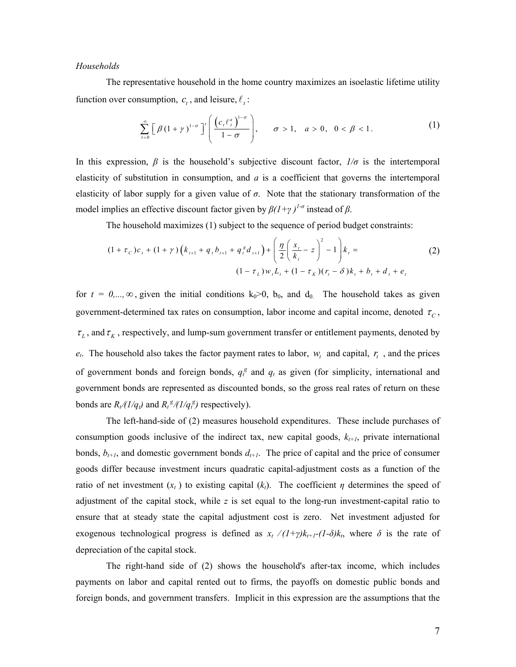#### *Households*

The representative household in the home country maximizes an isoelastic lifetime utility function over consumption,  $c_t$ , and leisure,  $l_t$ :

$$
\sum_{t=0}^{\infty} \left[ \beta \left(1+\gamma\right)^{1-\sigma} \right]^t \left( \frac{\left(c_t \ell_t^a\right)^{1-\sigma}}{1-\sigma} \right), \quad \sigma > 1, \quad a > 0, \quad 0 < \beta < 1. \tag{1}
$$

In this expression,  $\beta$  is the household's subjective discount factor,  $1/\sigma$  is the intertemporal elasticity of substitution in consumption, and *a* is a coefficient that governs the intertemporal elasticity of labor supply for a given value of  $\sigma$ . Note that the stationary transformation of the model implies an effective discount factor given by  $\beta (1+\gamma)^{1-\sigma}$  instead of  $\beta$ .

The household maximizes (1) subject to the sequence of period budget constraints:

$$
(1 + \tau_c)c_t + (1 + \gamma)\left(k_{t+1} + q_t b_{t+1} + q_t^s d_{t+1}\right) + \left(\frac{\eta}{2}\left(\frac{x_t}{k_t} - z\right)^2 - 1\right)k_t =
$$
\n
$$
(1 - \tau_L)w_t L_t + (1 - \tau_K)(r_t - \delta)k_t + b_t + d_t + e_t
$$
\n(2)

for  $t = 0,...,\infty$ , given the initial conditions  $k_0>0$ ,  $b_0$ , and  $d_0$ . The household takes as given government-determined tax rates on consumption, labor income and capital income, denoted  $\tau_c$ ,  $\tau_L$ , and  $\tau_K$ , respectively, and lump-sum government transfer or entitlement payments, denoted by  $e_t$ . The household also takes the factor payment rates to labor,  $w_t$  and capital,  $r_t$ , and the prices of government bonds and foreign bonds,  $q_t^g$  and  $q_t$  as given (for simplicity, international and government bonds are represented as discounted bonds, so the gross real rates of return on these bonds are  $R_t/(1/q_t)$  and  $R_t^g/(1/q_t^g)$  respectively).

The left-hand-side of (2) measures household expenditures. These include purchases of consumption goods inclusive of the indirect tax, new capital goods,  $k_{t+1}$ , private international bonds,  $b_{t+1}$ , and domestic government bonds  $d_{t+1}$ . The price of capital and the price of consumer goods differ because investment incurs quadratic capital-adjustment costs as a function of the ratio of net investment  $(x_t)$  to existing capital  $(k_t)$ . The coefficient  $\eta$  determines the speed of adjustment of the capital stock, while *z* is set equal to the long-run investment-capital ratio to ensure that at steady state the capital adjustment cost is zero. Net investment adjusted for exogenous technological progress is defined as  $x_t$  /( $1+y$ ) $k_{t+1}$ -( $1-\delta$ ) $k_t$ , where  $\delta$  is the rate of depreciation of the capital stock.

The right-hand side of (2) shows the household's after-tax income, which includes payments on labor and capital rented out to firms, the payoffs on domestic public bonds and foreign bonds, and government transfers. Implicit in this expression are the assumptions that the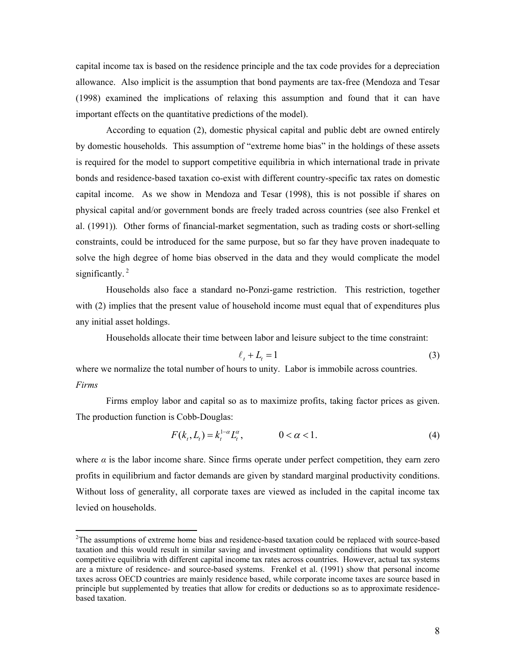capital income tax is based on the residence principle and the tax code provides for a depreciation allowance. Also implicit is the assumption that bond payments are tax-free (Mendoza and Tesar (1998) examined the implications of relaxing this assumption and found that it can have important effects on the quantitative predictions of the model).

According to equation (2), domestic physical capital and public debt are owned entirely by domestic households. This assumption of "extreme home bias" in the holdings of these assets is required for the model to support competitive equilibria in which international trade in private bonds and residence-based taxation co-exist with different country-specific tax rates on domestic capital income. As we show in Mendoza and Tesar (1998), this is not possible if shares on physical capital and/or government bonds are freely traded across countries (see also Frenkel et al. (1991))*.* Other forms of financial-market segmentation, such as trading costs or short-selling constraints, could be introduced for the same purpose, but so far they have proven inadequate to solve the high degree of home bias observed in the data and they would complicate the model significantly. $2$ 

Households also face a standard no-Ponzi-game restriction. This restriction, together with (2) implies that the present value of household income must equal that of expenditures plus any initial asset holdings.

Households allocate their time between labor and leisure subject to the time constraint:

$$
\ell_t + L_t = 1 \tag{3}
$$

where we normalize the total number of hours to unity. Labor is immobile across countries. *Firms* 

Firms employ labor and capital so as to maximize profits, taking factor prices as given. The production function is Cobb-Douglas:

$$
F(k_t, L_t) = k_t^{1-\alpha} L_t^{\alpha}, \qquad 0 < \alpha < 1.
$$
 (4)

where  $\alpha$  is the labor income share. Since firms operate under perfect competition, they earn zero profits in equilibrium and factor demands are given by standard marginal productivity conditions. Without loss of generality, all corporate taxes are viewed as included in the capital income tax levied on households.

<span id="page-9-0"></span> $\frac{1}{2}$ <sup>2</sup>The assumptions of extreme home bias and residence-based taxation could be replaced with source-based taxation and this would result in similar saving and investment optimality conditions that would support competitive equilibria with different capital income tax rates across countries. However, actual tax systems are a mixture of residence- and source-based systems. Frenkel et al. (1991) show that personal income taxes across OECD countries are mainly residence based, while corporate income taxes are source based in principle but supplemented by treaties that allow for credits or deductions so as to approximate residencebased taxation.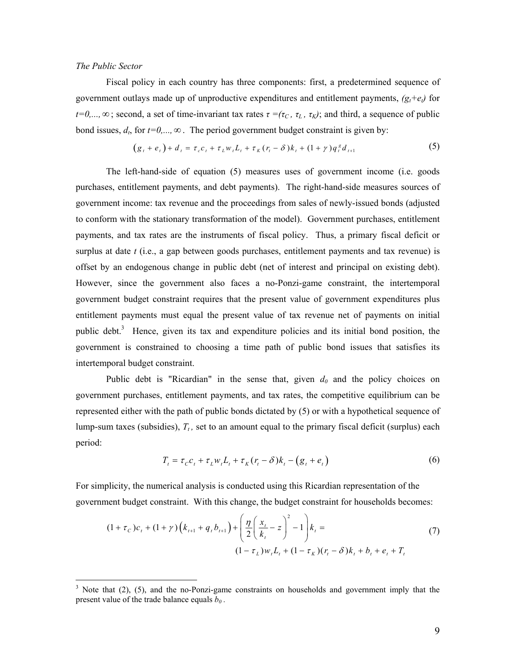#### *The Public Sector*

Fiscal policy in each country has three components: first, a predetermined sequence of government outlays made up of unproductive expenditures and entitlement payments,  $(g_t + e_t)$  for *t*=0,..., ∞; second, a set of time-invariant tax rates  $τ = (τ<sub>C</sub>, τ<sub>L</sub>, τ<sub>K</sub>)$ ; and third, a sequence of public bond issues,  $d_t$ , for  $t=0,...,\infty$ . The period government budget constraint is given by:

$$
(g_{t} + e_{t}) + d_{t} = \tau_{c} c_{t} + \tau_{L} w_{t} L_{t} + \tau_{K} (r_{t} - \delta) k_{t} + (1 + \gamma) q_{t}^{g} d_{t+1}
$$
\n
$$
(5)
$$

The left-hand-side of equation (5) measures uses of government income (i.e. goods purchases, entitlement payments, and debt payments). The right-hand-side measures sources of government income: tax revenue and the proceedings from sales of newly-issued bonds (adjusted to conform with the stationary transformation of the model). Government purchases, entitlement payments, and tax rates are the instruments of fiscal policy. Thus, a primary fiscal deficit or surplus at date *t* (i.e., a gap between goods purchases, entitlement payments and tax revenue) is offset by an endogenous change in public debt (net of interest and principal on existing debt). However, since the government also faces a no-Ponzi-game constraint, the intertemporal government budget constraint requires that the present value of government expenditures plus entitlement payments must equal the present value of tax revenue net of payments on initial publicdebt.<sup>3</sup> Hence, given its tax and expenditure policies and its initial bond position, the government is constrained to choosing a time path of public bond issues that satisfies its intertemporal budget constraint.

Public debt is "Ricardian" in the sense that, given  $d_0$  and the policy choices on government purchases, entitlement payments, and tax rates, the competitive equilibrium can be represented either with the path of public bonds dictated by (5) or with a hypothetical sequence of lump-sum taxes (subsidies),  $T_t$ , set to an amount equal to the primary fiscal deficit (surplus) each period:

$$
T_t = \tau_c c_t + \tau_L w_t L_t + \tau_K (r_t - \delta) k_t - (g_t + e_t)
$$
\n
$$
(6)
$$

For simplicity, the numerical analysis is conducted using this Ricardian representation of the government budget constraint. With this change, the budget constraint for households becomes:

$$
(1 + \tau_c)c_t + (1 + \gamma)\left(k_{t+1} + q_t b_{t+1}\right) + \left(\frac{\eta}{2}\left(\frac{x_t}{k_t} - z\right)^2 - 1\right)k_t =
$$
\n
$$
(1 - \tau_L)w_t L_t + (1 - \tau_K)(r_t - \delta)k_t + b_t + e_t + T_t
$$
\n(7)

<span id="page-10-0"></span><sup>&</sup>lt;sup>3</sup>  $3$  Note that (2), (5), and the no-Ponzi-game constraints on households and government imply that the present value of the trade balance equals  $b_0$ .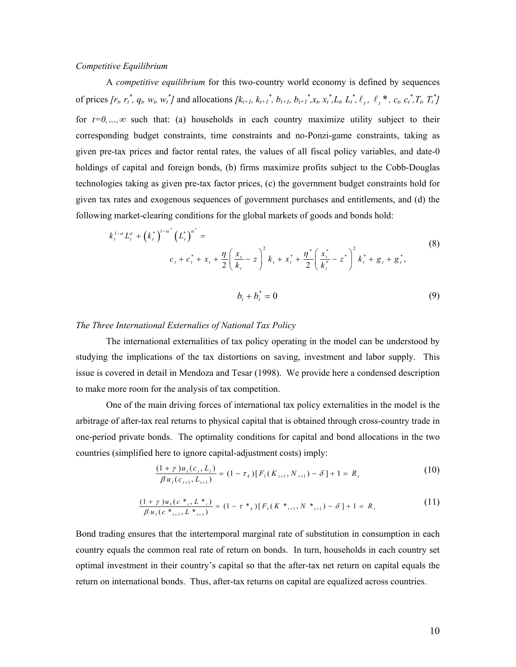### *Competitive Equilibrium*

A *competitive equilibrium* for this two-country world economy is defined by sequences of prices  $[r_b \, r_t^*, q_b \, w_b \, w_t^*]$  and allocations  $[k_{t+1}, k_{t+1}, k_{t+1}, b_{t+1}, k_{t+1}, x_b, x_t^*, L_b, L_t^*, \ell_t, k_t^*, c_b, c_t^*, T_b, T_t^*]$ for  $t=0,...,\infty$  such that: (a) households in each country maximize utility subject to their corresponding budget constraints, time constraints and no-Ponzi-game constraints, taking as given pre-tax prices and factor rental rates, the values of all fiscal policy variables, and date-0 holdings of capital and foreign bonds, (b) firms maximize profits subject to the Cobb-Douglas technologies taking as given pre-tax factor prices, (c) the government budget constraints hold for given tax rates and exogenous sequences of government purchases and entitlements, and (d) the following market-clearing conditions for the global markets of goods and bonds hold:

$$
k_{t}^{1-\alpha} L_{t}^{\alpha} + (k_{t}^{*})^{1-\alpha^{*}} (L_{t}^{*})^{\alpha^{*}} =
$$
\n
$$
c_{t} + c_{t}^{*} + x_{t} + \frac{\eta}{2} \left( \frac{x_{t}}{k_{t}} - z \right)^{2} k_{t} + x_{t}^{*} + \frac{\eta^{*}}{2} \left( \frac{x_{t}^{*}}{k_{t}^{*}} - z^{*} \right)^{2} k_{t}^{*} + g_{t} + g_{t}^{*},
$$
\n(8)

$$
b_t + b_t^* = 0 \tag{9}
$$

# *The Three International Externalies of National Tax Policy*

The international externalities of tax policy operating in the model can be understood by studying the implications of the tax distortions on saving, investment and labor supply. This issue is covered in detail in Mendoza and Tesar (1998). We provide here a condensed description to make more room for the analysis of tax competition.

One of the main driving forces of international tax policy externalities in the model is the arbitrage of after-tax real returns to physical capital that is obtained through cross-country trade in one-period private bonds. The optimality conditions for capital and bond allocations in the two countries (simplified here to ignore capital-adjustment costs) imply:

$$
\frac{(1+\gamma)u_1(c_1, L_t)}{\beta u_1(c_{t+1}, L_{t+1})} = (1 - \tau_k)[F_1(K_{t+1}, N_{t+1}) - \delta] + 1 = R_t
$$
\n(10)

$$
\frac{(1+\gamma)u_1(c^*,L^*_{t})}{\beta u_1(c^*_{t+1},L^*_{t+1})} = (1-\tau^*)[F_1(K^*_{t+1},N^*_{t+1}) - \delta] + 1 = R_t
$$
\n(11)

Bond trading ensures that the intertemporal marginal rate of substitution in consumption in each country equals the common real rate of return on bonds. In turn, households in each country set optimal investment in their country's capital so that the after-tax net return on capital equals the return on international bonds. Thus, after-tax returns on capital are equalized across countries.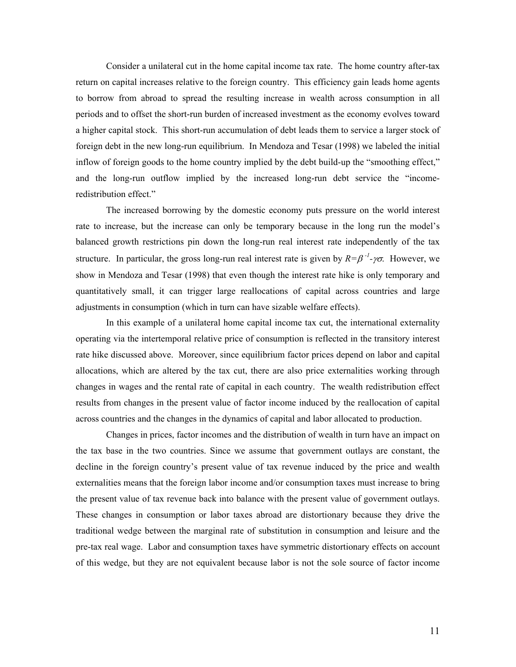Consider a unilateral cut in the home capital income tax rate. The home country after-tax return on capital increases relative to the foreign country. This efficiency gain leads home agents to borrow from abroad to spread the resulting increase in wealth across consumption in all periods and to offset the short-run burden of increased investment as the economy evolves toward a higher capital stock. This short-run accumulation of debt leads them to service a larger stock of foreign debt in the new long-run equilibrium. In Mendoza and Tesar (1998) we labeled the initial inflow of foreign goods to the home country implied by the debt build-up the "smoothing effect," and the long-run outflow implied by the increased long-run debt service the "incomeredistribution effect."

The increased borrowing by the domestic economy puts pressure on the world interest rate to increase, but the increase can only be temporary because in the long run the model's balanced growth restrictions pin down the long-run real interest rate independently of the tax structure. In particular, the gross long-run real interest rate is given by  $R = \beta^{-1}$ - $\gamma \sigma$ . However, we show in Mendoza and Tesar (1998) that even though the interest rate hike is only temporary and quantitatively small, it can trigger large reallocations of capital across countries and large adjustments in consumption (which in turn can have sizable welfare effects).

In this example of a unilateral home capital income tax cut, the international externality operating via the intertemporal relative price of consumption is reflected in the transitory interest rate hike discussed above. Moreover, since equilibrium factor prices depend on labor and capital allocations, which are altered by the tax cut, there are also price externalities working through changes in wages and the rental rate of capital in each country. The wealth redistribution effect results from changes in the present value of factor income induced by the reallocation of capital across countries and the changes in the dynamics of capital and labor allocated to production.

Changes in prices, factor incomes and the distribution of wealth in turn have an impact on the tax base in the two countries. Since we assume that government outlays are constant, the decline in the foreign country's present value of tax revenue induced by the price and wealth externalities means that the foreign labor income and/or consumption taxes must increase to bring the present value of tax revenue back into balance with the present value of government outlays. These changes in consumption or labor taxes abroad are distortionary because they drive the traditional wedge between the marginal rate of substitution in consumption and leisure and the pre-tax real wage. Labor and consumption taxes have symmetric distortionary effects on account of this wedge, but they are not equivalent because labor is not the sole source of factor income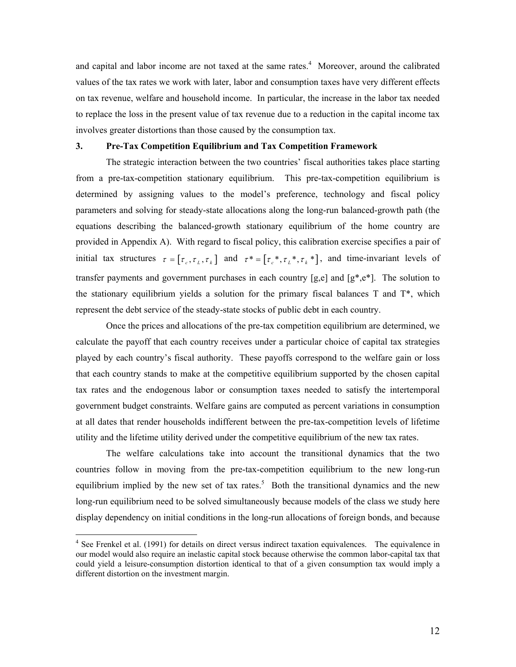and capital and labor income are not taxed at the same rates.<sup>[4](#page-13-0)</sup> Moreover, around the calibrated values of the tax rates we work with later, labor and consumption taxes have very different effects on tax revenue, welfare and household income. In particular, the increase in the labor tax needed to replace the loss in the present value of tax revenue due to a reduction in the capital income tax involves greater distortions than those caused by the consumption tax.

#### **3. Pre-Tax Competition Equilibrium and Tax Competition Framework**

The strategic interaction between the two countries' fiscal authorities takes place starting from a pre-tax-competition stationary equilibrium. This pre-tax-competition equilibrium is determined by assigning values to the model's preference, technology and fiscal policy parameters and solving for steady-state allocations along the long-run balanced-growth path (the equations describing the balanced-growth stationary equilibrium of the home country are provided in Appendix A). With regard to fiscal policy, this calibration exercise specifies a pair of initial tax structures  $\tau = [\tau_c, \tau_L, \tau_k]$  and  $\tau^* = [\tau_c^*, \tau_L^*, \tau_k^*]$ , and time-invariant levels of transfer payments and government purchases in each country  $[g,e]$  and  $[g^*,e^*]$ . The solution to the stationary equilibrium yields a solution for the primary fiscal balances T and  $T^*$ , which represent the debt service of the steady-state stocks of public debt in each country.

Once the prices and allocations of the pre-tax competition equilibrium are determined, we calculate the payoff that each country receives under a particular choice of capital tax strategies played by each country's fiscal authority. These payoffs correspond to the welfare gain or loss that each country stands to make at the competitive equilibrium supported by the chosen capital tax rates and the endogenous labor or consumption taxes needed to satisfy the intertemporal government budget constraints. Welfare gains are computed as percent variations in consumption at all dates that render households indifferent between the pre-tax-competition levels of lifetime utility and the lifetime utility derived under the competitive equilibrium of the new tax rates.

The welfare calculations take into account the transitional dynamics that the two countries follow in moving from the pre-tax-competition equilibrium to the new long-run equilibrium implied by the new set of tax rates.<sup>[5](#page-13-1)</sup> Both the transitional dynamics and the new long-run equilibrium need to be solved simultaneously because models of the class we study here display dependency on initial conditions in the long-run allocations of foreign bonds, and because

<span id="page-13-1"></span><span id="page-13-0"></span><sup>&</sup>lt;sup>4</sup> See Frenkel et al. (1991) for details on direct versus indirect taxation equivalences. The equivalence in our model would also require an inelastic capital stock because otherwise the common labor-capital tax that could yield a leisure-consumption distortion identical to that of a given consumption tax would imply a different distortion on the investment margin.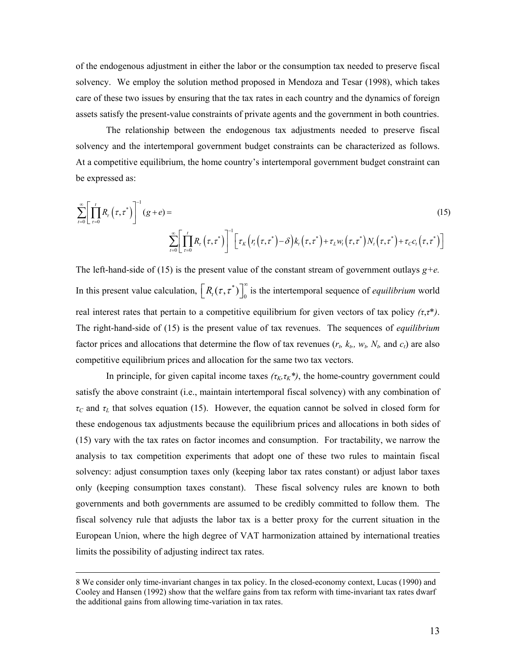of the endogenous adjustment in either the labor or the consumption tax needed to preserve fiscal solvency. We employ the solution method proposed in Mendoza and Tesar (1998), which takes care of these two issues by ensuring that the tax rates in each country and the dynamics of foreign assets satisfy the present-value constraints of private agents and the government in both countries.

The relationship between the endogenous tax adjustments needed to preserve fiscal solvency and the intertemporal government budget constraints can be characterized as follows. At a competitive equilibrium, the home country's intertemporal government budget constraint can be expressed as:

$$
\sum_{t=0}^{\infty} \left[ \prod_{\tau=0}^{t} R_{\tau} \left( \tau, \tau^{*} \right) \right]^{-1} (g+e) =
$$
\n
$$
\sum_{t=0}^{\infty} \left[ \prod_{\tau=0}^{t} R_{\tau} \left( \tau, \tau^{*} \right) \right]^{-1} \left[ \tau_{K} \left( r_{t} \left( \tau, \tau^{*} \right) - \delta \right) k_{t} \left( \tau, \tau^{*} \right) + \tau_{L} w_{t} \left( \tau, \tau^{*} \right) N_{t} \left( \tau, \tau^{*} \right) + \tau_{C} c_{t} \left( \tau, \tau^{*} \right) \right]
$$
\n(15)

In this present value calculation,  $\left[R_t(\tau,\tau^*)\right]_0^{\infty}$  is the intertemporal sequence of *equilibrium* world The left-hand-side of (15) is the present value of the constant stream of government outlays  $g+e$ . real interest rates that pertain to a competitive equilibrium for given vectors of tax policy  $(\tau, \tau^*)$ . The right-hand-side of (15) is the present value of tax revenues. The sequences of *equilibrium* factor prices and allocations that determine the flow of tax revenues  $(r_b, k_b, w_b, N_b, \text{ and } c_t)$  are also competitive equilibrium prices and allocation for the same two tax vectors.

In principle, for given capital income taxes  $(\tau_K, \tau_K^*)$ , the home-country government could satisfy the above constraint (i.e., maintain intertemporal fiscal solvency) with any combination of  $\tau_C$  and  $\tau_L$  that solves equation (15). However, the equation cannot be solved in closed form for these endogenous tax adjustments because the equilibrium prices and allocations in both sides of (15) vary with the tax rates on factor incomes and consumption. For tractability, we narrow the analysis to tax competition experiments that adopt one of these two rules to maintain fiscal solvency: adjust consumption taxes only (keeping labor tax rates constant) or adjust labor taxes only (keeping consumption taxes constant). These fiscal solvency rules are known to both governments and both governments are assumed to be credibly committed to follow them. The fiscal solvency rule that adjusts the labor tax is a better proxy for the current situation in the European Union, where the high degree of VAT harmonization attained by international treaties limits the possibility of adjusting indirect tax rates.

 <sup>8</sup> We consider only time-invariant changes in tax policy. In the closed-economy context, Lucas (1990) and Cooley and Hansen (1992) show that the welfare gains from tax reform with time-invariant tax rates dwarf the additional gains from allowing time-variation in tax rates.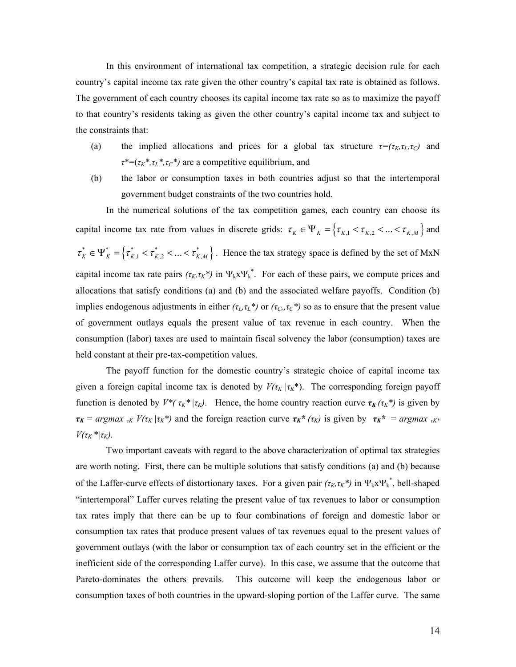In this environment of international tax competition, a strategic decision rule for each country's capital income tax rate given the other country's capital tax rate is obtained as follows. The government of each country chooses its capital income tax rate so as to maximize the payoff to that country's residents taking as given the other country's capital income tax and subject to the constraints that:

- (a) the implied allocations and prices for a global tax structure  $\tau = (\tau_K, \tau_L, \tau_C)$  and  $\tau^* = (\tau_K^*, \tau_L^*, \tau_C^*)$  are a competitive equilibrium, and
- (b) the labor or consumption taxes in both countries adjust so that the intertemporal government budget constraints of the two countries hold.

In the numerical solutions of the tax competition games, each country can choose its capital income tax rate from values in discrete grids:  $\tau_K \in \Psi_K = \{\tau_{K,1} < \tau_{K,2} < \ldots < \tau_{K,M}\}\$ and  ${\tau}_{K}^{*} \in \Psi_{K}^{*} = {\tau}_{K,1}^{*} < {\tau}_{K,2}^{*} < ... < {\tau}_{K,M}^{*}$ . Hence the tax strategy space is defined by the set of MxN capital income tax rate pairs  $(\tau_K, \tau_K^*)$  in  $\Psi_k x \Psi_k^*$ . For each of these pairs, we compute prices and allocations that satisfy conditions (a) and (b) and the associated welfare payoffs. Condition (b) implies endogenous adjustments in either  $(\tau_L, \tau_L^*)$  or  $(\tau_C, \tau_C^*)$  so as to ensure that the present value of government outlays equals the present value of tax revenue in each country. When the consumption (labor) taxes are used to maintain fiscal solvency the labor (consumption) taxes are held constant at their pre-tax-competition values.

The payoff function for the domestic country's strategic choice of capital income tax given a foreign capital income tax is denoted by  $V(\tau_K | \tau_K^*)$ . The corresponding foreign payoff function is denoted by  $V^*(\tau_K^*|\tau_K)$ . Hence, the home country reaction curve  $\tau_K(\tau_K^*)$  is given by  $\tau_K = \argmax_{\tau K} V(\tau_K | \tau_K^*)$  and the foreign reaction curve  $\tau_K^* (\tau_K)$  is given by  $\tau_K^* = \argmax_{\tau_K^*} \tau_K^*$  $V(\tau_K^*$  \*| $\tau_K$ ).

Two important caveats with regard to the above characterization of optimal tax strategies are worth noting. First, there can be multiple solutions that satisfy conditions (a) and (b) because of the Laffer-curve effects of distortionary taxes. For a given pair  $(\tau_K, \tau_K^*)$  in  $\Psi_k x \Psi_k^*$ , bell-shaped "intertemporal" Laffer curves relating the present value of tax revenues to labor or consumption tax rates imply that there can be up to four combinations of foreign and domestic labor or consumption tax rates that produce present values of tax revenues equal to the present values of government outlays (with the labor or consumption tax of each country set in the efficient or the inefficient side of the corresponding Laffer curve). In this case, we assume that the outcome that Pareto-dominates the others prevails. This outcome will keep the endogenous labor or consumption taxes of both countries in the upward-sloping portion of the Laffer curve. The same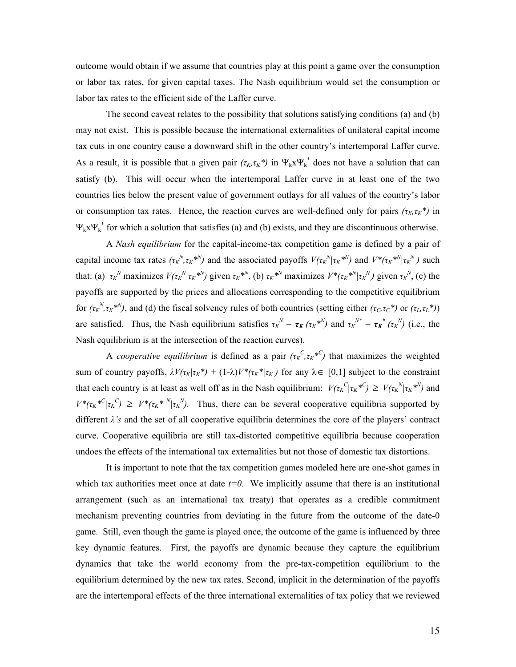outcome would obtain if we assume that countries play at this point a game over the consumption or labor tax rates, for given capital taxes. The Nash equilibrium would set the consumption or labor tax rates to the efficient side of the Laffer curve.

The second caveat relates to the possibility that solutions satisfying conditions (a) and (b) may not exist. This is possible because the international externalities of unilateral capital income tax cuts in one country cause a downward shift in the other country's intertemporal Laffer curve. As a result, it is possible that a given pair  $(\tau_K, \tau_K^*)$  in  $\Psi_k x \Psi_k^*$  does not have a solution that can satisfy (b). This will occur when the intertemporal Laffer curve in at least one of the two countries lies below the present value of government outlays for all values of the country's labor or consumption tax rates. Hence, the reaction curves are well-defined only for pairs  $(\tau_K, \tau_K^*)$  in  $\Psi_k X \Psi_k^*$  for which a solution that satisfies (a) and (b) exists, and they are discontinuous otherwise.

A *Nash equilibrium* for the capital-income-tax competition game is defined by a pair of capital income tax rates  $(\tau_K^N, \tau_K^{N})$  and the associated payoffs  $V(\tau_K^N | \tau_K^{N})$  and  $V^*(\tau_K^{N} | \tau_K^N)$  such that: (a)  $\tau_K^N$  maximizes  $V(\tau_K^N | \tau_K^{N})$  given  $\tau_K^{N,N}$ , (b)  $\tau_K^{N,N}$  maximizes  $V^*(\tau_K^{N,N} | \tau_K^N)$  given  $\tau_K^N$ , (c) the payoffs are supported by the prices and allocations corresponding to the competitive equilibrium for  $(\tau_K^N, \tau_K^{N})$ , and (d) the fiscal solvency rules of both countries (setting either  $(\tau_C, \tau_C^*)$  or  $(\tau_L, \tau_L^*)$ ) are satisfied. Thus, the Nash equilibrium satisfies  $\tau_K^N = \tau_K (\tau_K^{*N})$  and  $\tau_K^{N^*} = \tau_K^* (\tau_K^N)$  (i.e., the Nash equilibrium is at the intersection of the reaction curves).

A *cooperative equilibrium* is defined as a pair  $(\tau_K^C, \tau_K^{*C})$  that maximizes the weighted sum of country payoffs,  $\lambda V(\tau_K|\tau_K^*)$  + (1- $\lambda)V^*(\tau_K^*|\tau_K)$  for any  $\lambda \in [0,1]$  subject to the constraint that each country is at least as well off as in the Nash equilibrium:  $V(\tau_K^C | \tau_K^{*C}) \geq V(\tau_K^N | \tau_K^{*N})$  and  $V^*(\tau_K^{*C}|\tau_K^C) \geq V^*(\tau_K^{*N}|\tau_K^N)$ . Thus, there can be several cooperative equilibria supported by different *λ's* and the set of all cooperative equilibria determines the core of the players' contract curve. Cooperative equilibria are still tax-distorted competitive equilibria because cooperation undoes the effects of the international tax externalities but not those of domestic tax distortions.

It is important to note that the tax competition games modeled here are one-shot games in which tax authorities meet once at date  $t=0$ . We implicitly assume that there is an institutional arrangement (such as an international tax treaty) that operates as a credible commitment mechanism preventing countries from deviating in the future from the outcome of the date-0 game. Still, even though the game is played once, the outcome of the game is influenced by three key dynamic features. First, the payoffs are dynamic because they capture the equilibrium dynamics that take the world economy from the pre-tax-competition equilibrium to the equilibrium determined by the new tax rates. Second, implicit in the determination of the payoffs are the intertemporal effects of the three international externalities of tax policy that we reviewed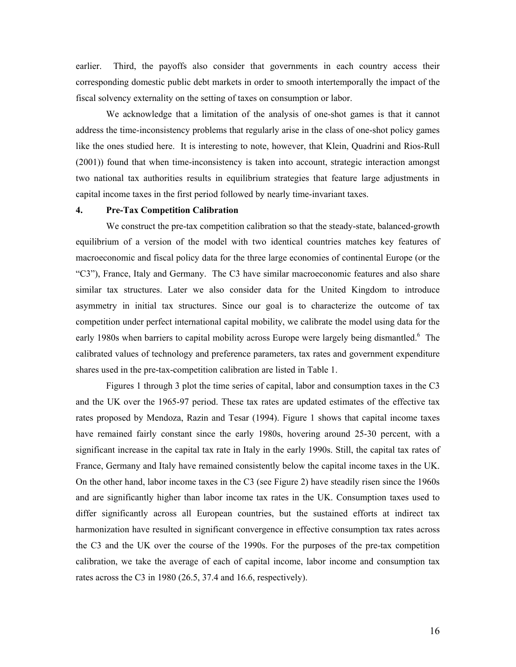earlier. Third, the payoffs also consider that governments in each country access their corresponding domestic public debt markets in order to smooth intertemporally the impact of the fiscal solvency externality on the setting of taxes on consumption or labor.

We acknowledge that a limitation of the analysis of one-shot games is that it cannot address the time-inconsistency problems that regularly arise in the class of one-shot policy games like the ones studied here. It is interesting to note, however, that Klein, Quadrini and Rios-Rull (2001)) found that when time-inconsistency is taken into account, strategic interaction amongst two national tax authorities results in equilibrium strategies that feature large adjustments in capital income taxes in the first period followed by nearly time-invariant taxes.

### **4. Pre-Tax Competition Calibration**

We construct the pre-tax competition calibration so that the steady-state, balanced-growth equilibrium of a version of the model with two identical countries matches key features of macroeconomic and fiscal policy data for the three large economies of continental Europe (or the "C3"), France, Italy and Germany. The C3 have similar macroeconomic features and also share similar tax structures. Later we also consider data for the United Kingdom to introduce asymmetry in initial tax structures. Since our goal is to characterize the outcome of tax competition under perfect international capital mobility, we calibrate the model using data for the early 1980s when barriers to capital mobility across Europe were largely being dismantled.<sup>6</sup> The calibrated values of technology and preference parameters, tax rates and government expenditure shares used in the pre-tax-competition calibration are listed in Table 1.

<span id="page-17-0"></span>Figures 1 through 3 plot the time series of capital, labor and consumption taxes in the C3 and the UK over the 1965-97 period. These tax rates are updated estimates of the effective tax rates proposed by Mendoza, Razin and Tesar (1994). Figure 1 shows that capital income taxes have remained fairly constant since the early 1980s, hovering around 25-30 percent, with a significant increase in the capital tax rate in Italy in the early 1990s. Still, the capital tax rates of France, Germany and Italy have remained consistently below the capital income taxes in the UK. On the other hand, labor income taxes in the C3 (see Figure 2) have steadily risen since the 1960s and are significantly higher than labor income tax rates in the UK. Consumption taxes used to differ significantly across all European countries, but the sustained efforts at indirect tax harmonization have resulted in significant convergence in effective consumption tax rates across the C3 and the UK over the course of the 1990s. For the purposes of the pre-tax competition calibration, we take the average of each of capital income, labor income and consumption tax rates across the C3 in 1980 (26.5, 37.4 and 16.6, respectively).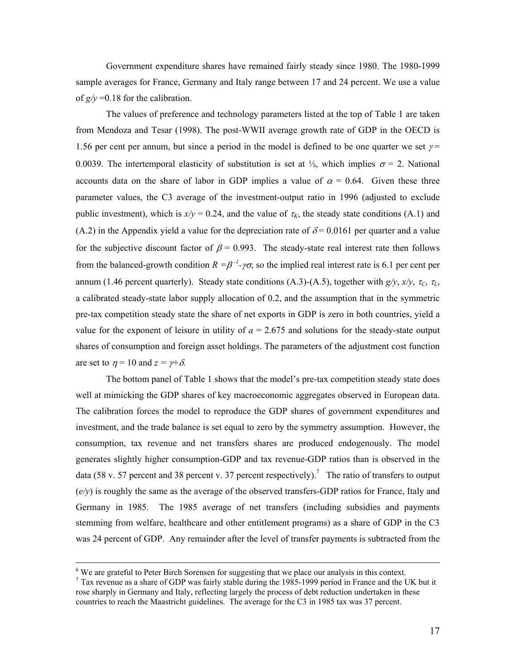Government expenditure shares have remained fairly steady since 1980. The 1980-1999 sample averages for France, Germany and Italy range between 17 and 24 percent. We use a value of  $g/y = 0.18$  for the calibration.

The values of preference and technology parameters listed at the top of Table 1 are taken from Mendoza and Tesar (1998). The post-WWII average growth rate of GDP in the OECD is 1.56 per cent per annum, but since a period in the model is defined to be one quarter we set  $\gamma$  = 0.0039. The intertemporal elasticity of substitution is set at  $\frac{1}{2}$ , which implies  $\sigma = 2$ . National accounts data on the share of labor in GDP implies a value of  $\alpha = 0.64$ . Given these three parameter values, the C3 average of the investment-output ratio in 1996 (adjusted to exclude public investment), which is  $x/y = 0.24$ , and the value of  $\tau_K$ , the steady state conditions (A.1) and (A.2) in the Appendix yield a value for the depreciation rate of  $\delta$  = 0.0161 per quarter and a value for the subjective discount factor of  $\beta = 0.993$ . The steady-state real interest rate then follows from the balanced-growth condition  $R = \beta^{-1}$ - $\gamma \sigma$ , so the implied real interest rate is 6.1 per cent per annum (1.46 percent quarterly). Steady state conditions (A.3)-(A.5), together with  $g/v$ ,  $x/v$ ,  $\tau_c$ ,  $\tau_L$ , a calibrated steady-state labor supply allocation of 0.2, and the assumption that in the symmetric pre-tax competition steady state the share of net exports in GDP is zero in both countries, yield a value for the exponent of leisure in utility of  $a = 2.675$  and solutions for the steady-state output shares of consumption and foreign asset holdings. The parameters of the adjustment cost function are set to  $\eta = 10$  and  $z = \gamma + \delta$ .

The bottom panel of Table 1 shows that the model's pre-tax competition steady state does well at mimicking the GDP shares of key macroeconomic aggregates observed in European data. The calibration forces the model to reproduce the GDP shares of government expenditures and investment, and the trade balance is set equal to zero by the symmetry assumption. However, the consumption, tax revenue and net transfers shares are produced endogenously. The model generates slightly higher consumption-GDP and tax revenue-GDP ratios than is observed in the data (58 v. 5[7](#page-18-0) percent and 38 percent v. 37 percent respectively).<sup>7</sup> The ratio of transfers to output (*e/y*) is roughly the same as the average of the observed transfers-GDP ratios for France, Italy and Germany in 1985. The 1985 average of net transfers (including subsidies and payments stemming from welfare, healthcare and other entitlement programs) as a share of GDP in the C3 was 24 percent of GDP. Any remainder after the level of transfer payments is subtracted from the

 $\frac{1}{6}$ 

<span id="page-18-0"></span><sup>&</sup>lt;sup>6</sup> We are grateful to Peter Birch Sorensen for suggesting that we place our analysis in this context. <sup>7</sup> Tax revenue as a share of GDP was fairly stable during the 1985-1999 period in France and the UK but it rose sharply in Germany and Italy, reflecting largely the process of debt reduction undertaken in these countries to reach the Maastricht guidelines. The average for the C3 in 1985 tax was 37 percent.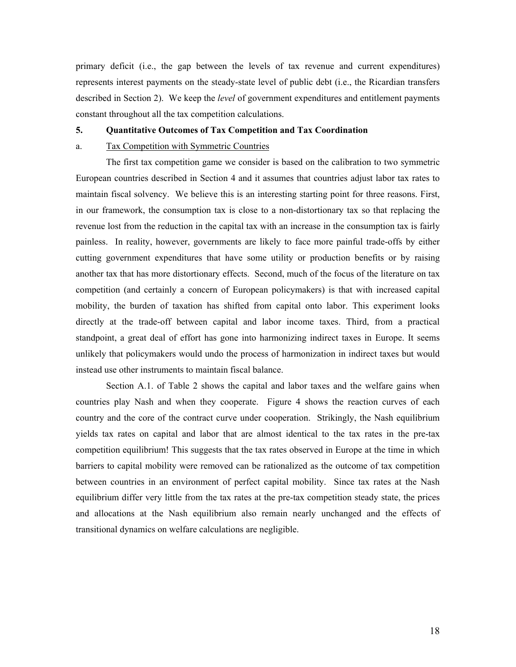primary deficit (i.e., the gap between the levels of tax revenue and current expenditures) represents interest payments on the steady-state level of public debt (i.e., the Ricardian transfers described in Section 2). We keep the *level* of government expenditures and entitlement payments constant throughout all the tax competition calculations.

# **5. Quantitative Outcomes of Tax Competition and Tax Coordination**

#### a. Tax Competition with Symmetric Countries

The first tax competition game we consider is based on the calibration to two symmetric European countries described in Section 4 and it assumes that countries adjust labor tax rates to maintain fiscal solvency. We believe this is an interesting starting point for three reasons. First, in our framework, the consumption tax is close to a non-distortionary tax so that replacing the revenue lost from the reduction in the capital tax with an increase in the consumption tax is fairly painless. In reality, however, governments are likely to face more painful trade-offs by either cutting government expenditures that have some utility or production benefits or by raising another tax that has more distortionary effects. Second, much of the focus of the literature on tax competition (and certainly a concern of European policymakers) is that with increased capital mobility, the burden of taxation has shifted from capital onto labor. This experiment looks directly at the trade-off between capital and labor income taxes. Third, from a practical standpoint, a great deal of effort has gone into harmonizing indirect taxes in Europe. It seems unlikely that policymakers would undo the process of harmonization in indirect taxes but would instead use other instruments to maintain fiscal balance.

Section A.1. of Table 2 shows the capital and labor taxes and the welfare gains when countries play Nash and when they cooperate. Figure 4 shows the reaction curves of each country and the core of the contract curve under cooperation. Strikingly, the Nash equilibrium yields tax rates on capital and labor that are almost identical to the tax rates in the pre-tax competition equilibrium! This suggests that the tax rates observed in Europe at the time in which barriers to capital mobility were removed can be rationalized as the outcome of tax competition between countries in an environment of perfect capital mobility. Since tax rates at the Nash equilibrium differ very little from the tax rates at the pre-tax competition steady state, the prices and allocations at the Nash equilibrium also remain nearly unchanged and the effects of transitional dynamics on welfare calculations are negligible.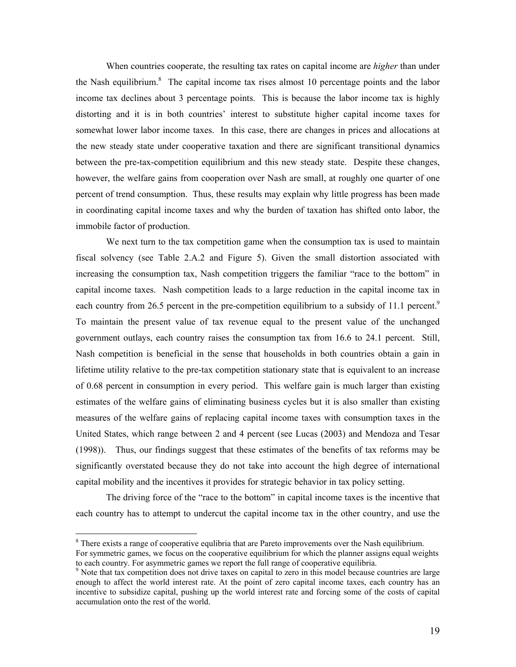When countries cooperate, the resulting tax rates on capital income are *higher* than under the Nash equilibrium.<sup>[8](#page-20-0)</sup> The capital income tax rises almost 10 percentage points and the labor income tax declines about 3 percentage points. This is because the labor income tax is highly distorting and it is in both countries' interest to substitute higher capital income taxes for somewhat lower labor income taxes. In this case, there are changes in prices and allocations at the new steady state under cooperative taxation and there are significant transitional dynamics between the pre-tax-competition equilibrium and this new steady state. Despite these changes, however, the welfare gains from cooperation over Nash are small, at roughly one quarter of one percent of trend consumption. Thus, these results may explain why little progress has been made in coordinating capital income taxes and why the burden of taxation has shifted onto labor, the immobile factor of production.

We next turn to the tax competition game when the consumption tax is used to maintain fiscal solvency (see Table 2.A.2 and Figure 5). Given the small distortion associated with increasing the consumption tax, Nash competition triggers the familiar "race to the bottom" in capital income taxes. Nash competition leads to a large reduction in the capital income tax in each country from 26.5 percent in the pre-competition equilibrium to a subsidy of 11.1 percent.<sup>[9](#page-20-1)</sup> To maintain the present value of tax revenue equal to the present value of the unchanged government outlays, each country raises the consumption tax from 16.6 to 24.1 percent. Still, Nash competition is beneficial in the sense that households in both countries obtain a gain in lifetime utility relative to the pre-tax competition stationary state that is equivalent to an increase of 0.68 percent in consumption in every period. This welfare gain is much larger than existing estimates of the welfare gains of eliminating business cycles but it is also smaller than existing measures of the welfare gains of replacing capital income taxes with consumption taxes in the United States, which range between 2 and 4 percent (see Lucas (2003) and Mendoza and Tesar (1998)). Thus, our findings suggest that these estimates of the benefits of tax reforms may be significantly overstated because they do not take into account the high degree of international capital mobility and the incentives it provides for strategic behavior in tax policy setting.

The driving force of the "race to the bottom" in capital income taxes is the incentive that each country has to attempt to undercut the capital income tax in the other country, and use the

 <sup>8</sup>  $8$  There exists a range of cooperative equilibria that are Pareto improvements over the Nash equilibrium.

<span id="page-20-0"></span>For symmetric games, we focus on the cooperative equilibrium for which the planner assigns equal weights to each country. For asymmetric games we report the full range of cooperative equilibria. 9

<span id="page-20-1"></span> $\degree$  Note that tax competition does not drive taxes on capital to zero in this model because countries are large enough to affect the world interest rate. At the point of zero capital income taxes, each country has an incentive to subsidize capital, pushing up the world interest rate and forcing some of the costs of capital accumulation onto the rest of the world.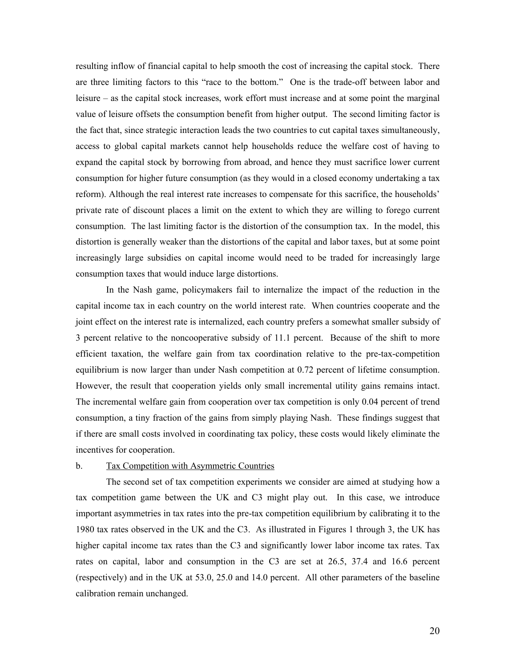resulting inflow of financial capital to help smooth the cost of increasing the capital stock. There are three limiting factors to this "race to the bottom." One is the trade-off between labor and leisure – as the capital stock increases, work effort must increase and at some point the marginal value of leisure offsets the consumption benefit from higher output. The second limiting factor is the fact that, since strategic interaction leads the two countries to cut capital taxes simultaneously, access to global capital markets cannot help households reduce the welfare cost of having to expand the capital stock by borrowing from abroad, and hence they must sacrifice lower current consumption for higher future consumption (as they would in a closed economy undertaking a tax reform). Although the real interest rate increases to compensate for this sacrifice, the households' private rate of discount places a limit on the extent to which they are willing to forego current consumption. The last limiting factor is the distortion of the consumption tax. In the model, this distortion is generally weaker than the distortions of the capital and labor taxes, but at some point increasingly large subsidies on capital income would need to be traded for increasingly large consumption taxes that would induce large distortions.

In the Nash game, policymakers fail to internalize the impact of the reduction in the capital income tax in each country on the world interest rate. When countries cooperate and the joint effect on the interest rate is internalized, each country prefers a somewhat smaller subsidy of 3 percent relative to the noncooperative subsidy of 11.1 percent. Because of the shift to more efficient taxation, the welfare gain from tax coordination relative to the pre-tax-competition equilibrium is now larger than under Nash competition at 0.72 percent of lifetime consumption. However, the result that cooperation yields only small incremental utility gains remains intact. The incremental welfare gain from cooperation over tax competition is only 0.04 percent of trend consumption, a tiny fraction of the gains from simply playing Nash. These findings suggest that if there are small costs involved in coordinating tax policy, these costs would likely eliminate the incentives for cooperation.

### b. Tax Competition with Asymmetric Countries

The second set of tax competition experiments we consider are aimed at studying how a tax competition game between the UK and C3 might play out. In this case, we introduce important asymmetries in tax rates into the pre-tax competition equilibrium by calibrating it to the 1980 tax rates observed in the UK and the C3. As illustrated in Figures 1 through 3, the UK has higher capital income tax rates than the C3 and significantly lower labor income tax rates. Tax rates on capital, labor and consumption in the C3 are set at 26.5, 37.4 and 16.6 percent (respectively) and in the UK at 53.0, 25.0 and 14.0 percent. All other parameters of the baseline calibration remain unchanged.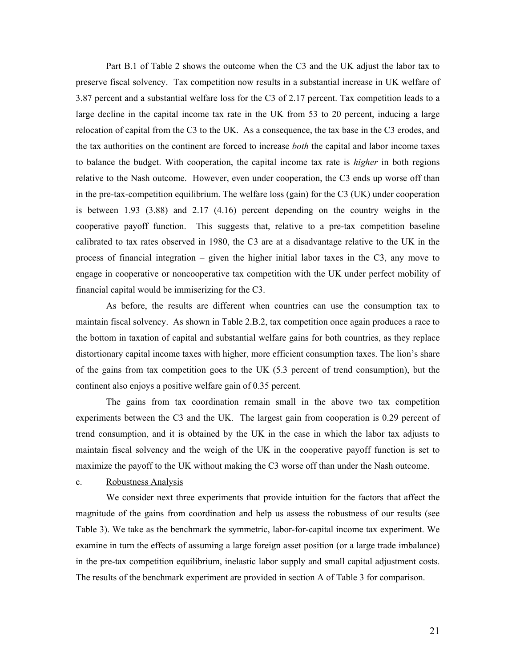Part B.1 of Table 2 shows the outcome when the C3 and the UK adjust the labor tax to preserve fiscal solvency. Tax competition now results in a substantial increase in UK welfare of 3.87 percent and a substantial welfare loss for the C3 of 2.17 percent. Tax competition leads to a large decline in the capital income tax rate in the UK from 53 to 20 percent, inducing a large relocation of capital from the C3 to the UK. As a consequence, the tax base in the C3 erodes, and the tax authorities on the continent are forced to increase *both* the capital and labor income taxes to balance the budget. With cooperation, the capital income tax rate is *higher* in both regions relative to the Nash outcome. However, even under cooperation, the C3 ends up worse off than in the pre-tax-competition equilibrium. The welfare loss (gain) for the C3 (UK) under cooperation is between 1.93 (3.88) and 2.17 (4.16) percent depending on the country weighs in the cooperative payoff function. This suggests that, relative to a pre-tax competition baseline calibrated to tax rates observed in 1980, the C3 are at a disadvantage relative to the UK in the process of financial integration – given the higher initial labor taxes in the C3, any move to engage in cooperative or noncooperative tax competition with the UK under perfect mobility of financial capital would be immiserizing for the C3.

As before, the results are different when countries can use the consumption tax to maintain fiscal solvency. As shown in Table 2.B.2, tax competition once again produces a race to the bottom in taxation of capital and substantial welfare gains for both countries, as they replace distortionary capital income taxes with higher, more efficient consumption taxes. The lion's share of the gains from tax competition goes to the UK (5.3 percent of trend consumption), but the continent also enjoys a positive welfare gain of 0.35 percent.

The gains from tax coordination remain small in the above two tax competition experiments between the C3 and the UK. The largest gain from cooperation is 0.29 percent of trend consumption, and it is obtained by the UK in the case in which the labor tax adjusts to maintain fiscal solvency and the weigh of the UK in the cooperative payoff function is set to maximize the payoff to the UK without making the C3 worse off than under the Nash outcome.

#### c. Robustness Analysis

We consider next three experiments that provide intuition for the factors that affect the magnitude of the gains from coordination and help us assess the robustness of our results (see Table 3). We take as the benchmark the symmetric, labor-for-capital income tax experiment. We examine in turn the effects of assuming a large foreign asset position (or a large trade imbalance) in the pre-tax competition equilibrium, inelastic labor supply and small capital adjustment costs. The results of the benchmark experiment are provided in section A of Table 3 for comparison.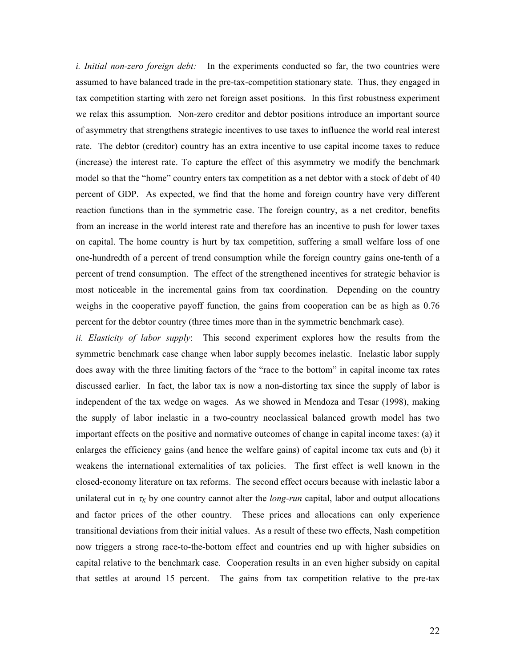*i. Initial non-zero foreign debt:* In the experiments conducted so far, the two countries were assumed to have balanced trade in the pre-tax-competition stationary state. Thus, they engaged in tax competition starting with zero net foreign asset positions. In this first robustness experiment we relax this assumption. Non-zero creditor and debtor positions introduce an important source of asymmetry that strengthens strategic incentives to use taxes to influence the world real interest rate. The debtor (creditor) country has an extra incentive to use capital income taxes to reduce (increase) the interest rate. To capture the effect of this asymmetry we modify the benchmark model so that the "home" country enters tax competition as a net debtor with a stock of debt of 40 percent of GDP. As expected, we find that the home and foreign country have very different reaction functions than in the symmetric case. The foreign country, as a net creditor, benefits from an increase in the world interest rate and therefore has an incentive to push for lower taxes on capital. The home country is hurt by tax competition, suffering a small welfare loss of one one-hundredth of a percent of trend consumption while the foreign country gains one-tenth of a percent of trend consumption. The effect of the strengthened incentives for strategic behavior is most noticeable in the incremental gains from tax coordination. Depending on the country weighs in the cooperative payoff function, the gains from cooperation can be as high as 0.76 percent for the debtor country (three times more than in the symmetric benchmark case).

*ii. Elasticity of labor supply*: This second experiment explores how the results from the symmetric benchmark case change when labor supply becomes inelastic. Inelastic labor supply does away with the three limiting factors of the "race to the bottom" in capital income tax rates discussed earlier. In fact, the labor tax is now a non-distorting tax since the supply of labor is independent of the tax wedge on wages. As we showed in Mendoza and Tesar (1998), making the supply of labor inelastic in a two-country neoclassical balanced growth model has two important effects on the positive and normative outcomes of change in capital income taxes: (a) it enlarges the efficiency gains (and hence the welfare gains) of capital income tax cuts and (b) it weakens the international externalities of tax policies. The first effect is well known in the closed-economy literature on tax reforms. The second effect occurs because with inelastic labor a unilateral cut in  $\tau_K$  by one country cannot alter the *long-run* capital, labor and output allocations and factor prices of the other country. These prices and allocations can only experience transitional deviations from their initial values. As a result of these two effects, Nash competition now triggers a strong race-to-the-bottom effect and countries end up with higher subsidies on capital relative to the benchmark case. Cooperation results in an even higher subsidy on capital that settles at around 15 percent. The gains from tax competition relative to the pre-tax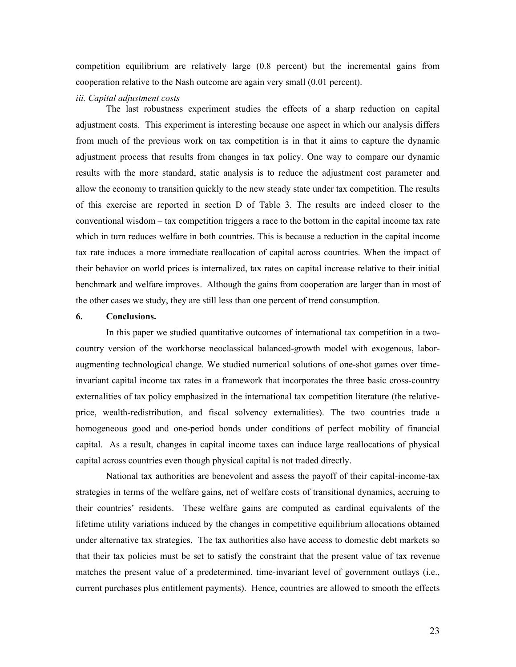competition equilibrium are relatively large (0.8 percent) but the incremental gains from cooperation relative to the Nash outcome are again very small (0.01 percent).

#### *iii. Capital adjustment costs*

The last robustness experiment studies the effects of a sharp reduction on capital adjustment costs. This experiment is interesting because one aspect in which our analysis differs from much of the previous work on tax competition is in that it aims to capture the dynamic adjustment process that results from changes in tax policy. One way to compare our dynamic results with the more standard, static analysis is to reduce the adjustment cost parameter and allow the economy to transition quickly to the new steady state under tax competition. The results of this exercise are reported in section D of Table 3. The results are indeed closer to the conventional wisdom – tax competition triggers a race to the bottom in the capital income tax rate which in turn reduces welfare in both countries. This is because a reduction in the capital income tax rate induces a more immediate reallocation of capital across countries. When the impact of their behavior on world prices is internalized, tax rates on capital increase relative to their initial benchmark and welfare improves. Although the gains from cooperation are larger than in most of the other cases we study, they are still less than one percent of trend consumption.

#### **6. Conclusions.**

In this paper we studied quantitative outcomes of international tax competition in a twocountry version of the workhorse neoclassical balanced-growth model with exogenous, laboraugmenting technological change. We studied numerical solutions of one-shot games over timeinvariant capital income tax rates in a framework that incorporates the three basic cross-country externalities of tax policy emphasized in the international tax competition literature (the relativeprice, wealth-redistribution, and fiscal solvency externalities). The two countries trade a homogeneous good and one-period bonds under conditions of perfect mobility of financial capital. As a result, changes in capital income taxes can induce large reallocations of physical capital across countries even though physical capital is not traded directly.

National tax authorities are benevolent and assess the payoff of their capital-income-tax strategies in terms of the welfare gains, net of welfare costs of transitional dynamics, accruing to their countries' residents. These welfare gains are computed as cardinal equivalents of the lifetime utility variations induced by the changes in competitive equilibrium allocations obtained under alternative tax strategies. The tax authorities also have access to domestic debt markets so that their tax policies must be set to satisfy the constraint that the present value of tax revenue matches the present value of a predetermined, time-invariant level of government outlays (i.e., current purchases plus entitlement payments). Hence, countries are allowed to smooth the effects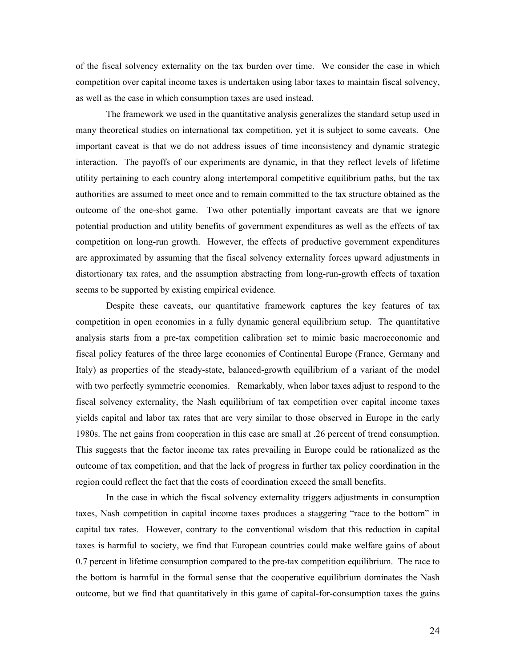of the fiscal solvency externality on the tax burden over time. We consider the case in which competition over capital income taxes is undertaken using labor taxes to maintain fiscal solvency, as well as the case in which consumption taxes are used instead.

The framework we used in the quantitative analysis generalizes the standard setup used in many theoretical studies on international tax competition, yet it is subject to some caveats. One important caveat is that we do not address issues of time inconsistency and dynamic strategic interaction. The payoffs of our experiments are dynamic, in that they reflect levels of lifetime utility pertaining to each country along intertemporal competitive equilibrium paths, but the tax authorities are assumed to meet once and to remain committed to the tax structure obtained as the outcome of the one-shot game. Two other potentially important caveats are that we ignore potential production and utility benefits of government expenditures as well as the effects of tax competition on long-run growth. However, the effects of productive government expenditures are approximated by assuming that the fiscal solvency externality forces upward adjustments in distortionary tax rates, and the assumption abstracting from long-run-growth effects of taxation seems to be supported by existing empirical evidence.

Despite these caveats, our quantitative framework captures the key features of tax competition in open economies in a fully dynamic general equilibrium setup. The quantitative analysis starts from a pre-tax competition calibration set to mimic basic macroeconomic and fiscal policy features of the three large economies of Continental Europe (France, Germany and Italy) as properties of the steady-state, balanced-growth equilibrium of a variant of the model with two perfectly symmetric economies. Remarkably, when labor taxes adjust to respond to the fiscal solvency externality, the Nash equilibrium of tax competition over capital income taxes yields capital and labor tax rates that are very similar to those observed in Europe in the early 1980s. The net gains from cooperation in this case are small at .26 percent of trend consumption. This suggests that the factor income tax rates prevailing in Europe could be rationalized as the outcome of tax competition, and that the lack of progress in further tax policy coordination in the region could reflect the fact that the costs of coordination exceed the small benefits.

In the case in which the fiscal solvency externality triggers adjustments in consumption taxes, Nash competition in capital income taxes produces a staggering "race to the bottom" in capital tax rates. However, contrary to the conventional wisdom that this reduction in capital taxes is harmful to society, we find that European countries could make welfare gains of about 0.7 percent in lifetime consumption compared to the pre-tax competition equilibrium. The race to the bottom is harmful in the formal sense that the cooperative equilibrium dominates the Nash outcome, but we find that quantitatively in this game of capital-for-consumption taxes the gains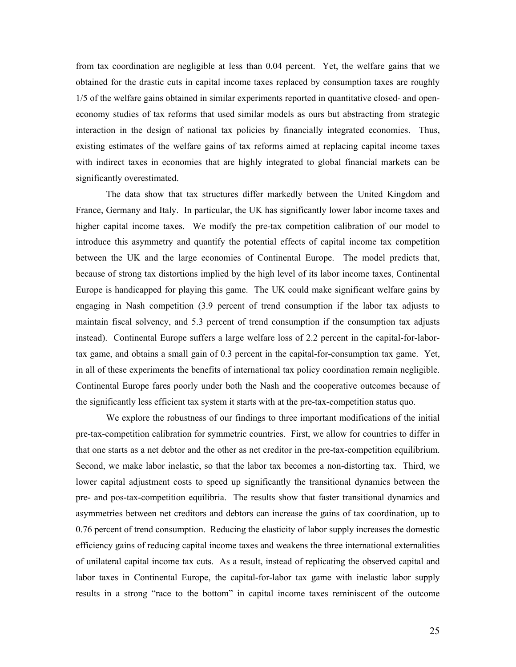from tax coordination are negligible at less than 0.04 percent. Yet, the welfare gains that we obtained for the drastic cuts in capital income taxes replaced by consumption taxes are roughly 1/5 of the welfare gains obtained in similar experiments reported in quantitative closed- and openeconomy studies of tax reforms that used similar models as ours but abstracting from strategic interaction in the design of national tax policies by financially integrated economies. Thus, existing estimates of the welfare gains of tax reforms aimed at replacing capital income taxes with indirect taxes in economies that are highly integrated to global financial markets can be significantly overestimated.

The data show that tax structures differ markedly between the United Kingdom and France, Germany and Italy. In particular, the UK has significantly lower labor income taxes and higher capital income taxes. We modify the pre-tax competition calibration of our model to introduce this asymmetry and quantify the potential effects of capital income tax competition between the UK and the large economies of Continental Europe. The model predicts that, because of strong tax distortions implied by the high level of its labor income taxes, Continental Europe is handicapped for playing this game. The UK could make significant welfare gains by engaging in Nash competition (3.9 percent of trend consumption if the labor tax adjusts to maintain fiscal solvency, and 5.3 percent of trend consumption if the consumption tax adjusts instead). Continental Europe suffers a large welfare loss of 2.2 percent in the capital-for-labortax game, and obtains a small gain of 0.3 percent in the capital-for-consumption tax game. Yet, in all of these experiments the benefits of international tax policy coordination remain negligible. Continental Europe fares poorly under both the Nash and the cooperative outcomes because of the significantly less efficient tax system it starts with at the pre-tax-competition status quo.

We explore the robustness of our findings to three important modifications of the initial pre-tax-competition calibration for symmetric countries. First, we allow for countries to differ in that one starts as a net debtor and the other as net creditor in the pre-tax-competition equilibrium. Second, we make labor inelastic, so that the labor tax becomes a non-distorting tax. Third, we lower capital adjustment costs to speed up significantly the transitional dynamics between the pre- and pos-tax-competition equilibria. The results show that faster transitional dynamics and asymmetries between net creditors and debtors can increase the gains of tax coordination, up to 0.76 percent of trend consumption. Reducing the elasticity of labor supply increases the domestic efficiency gains of reducing capital income taxes and weakens the three international externalities of unilateral capital income tax cuts. As a result, instead of replicating the observed capital and labor taxes in Continental Europe, the capital-for-labor tax game with inelastic labor supply results in a strong "race to the bottom" in capital income taxes reminiscent of the outcome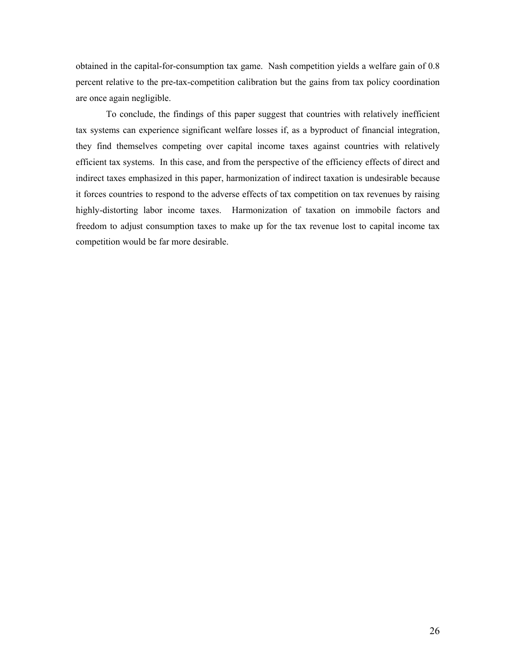obtained in the capital-for-consumption tax game. Nash competition yields a welfare gain of 0.8 percent relative to the pre-tax-competition calibration but the gains from tax policy coordination are once again negligible.

To conclude, the findings of this paper suggest that countries with relatively inefficient tax systems can experience significant welfare losses if, as a byproduct of financial integration, they find themselves competing over capital income taxes against countries with relatively efficient tax systems. In this case, and from the perspective of the efficiency effects of direct and indirect taxes emphasized in this paper, harmonization of indirect taxation is undesirable because it forces countries to respond to the adverse effects of tax competition on tax revenues by raising highly-distorting labor income taxes. Harmonization of taxation on immobile factors and freedom to adjust consumption taxes to make up for the tax revenue lost to capital income tax competition would be far more desirable.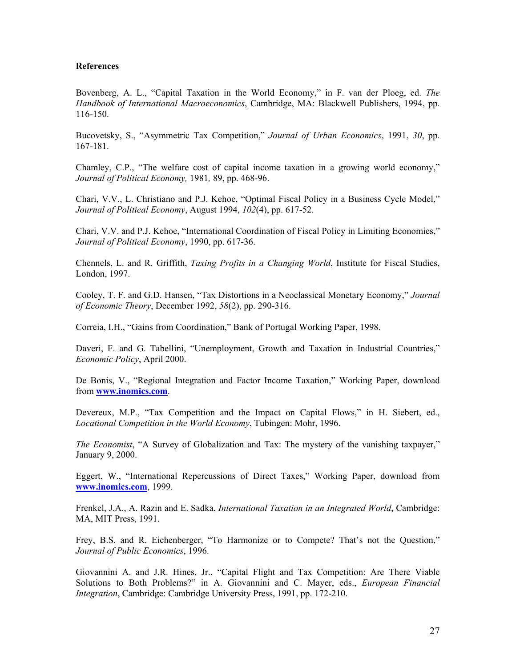# **References**

Bovenberg, A. L., "Capital Taxation in the World Economy," in F. van der Ploeg, ed. *The Handbook of International Macroeconomics*, Cambridge, MA: Blackwell Publishers, 1994, pp. 116-150.

Bucovetsky, S., "Asymmetric Tax Competition," *Journal of Urban Economics*, 1991, *30*, pp. 167-181.

Chamley, C.P., "The welfare cost of capital income taxation in a growing world economy," *Journal of Political Economy,* 1981*,* 89, pp. 468-96.

Chari, V.V., L. Christiano and P.J. Kehoe, "Optimal Fiscal Policy in a Business Cycle Model," *Journal of Political Economy*, August 1994, *102*(4), pp. 617-52.

Chari, V.V. and P.J. Kehoe, "International Coordination of Fiscal Policy in Limiting Economies," *Journal of Political Economy*, 1990, pp. 617-36.

Chennels, L. and R. Griffith, *Taxing Profits in a Changing World*, Institute for Fiscal Studies, London, 1997.

Cooley, T. F. and G.D. Hansen, "Tax Distortions in a Neoclassical Monetary Economy," *Journal of Economic Theory*, December 1992, *58*(2), pp. 290-316.

Correia, I.H., "Gains from Coordination," Bank of Portugal Working Paper, 1998.

Daveri, F. and G. Tabellini, "Unemployment, Growth and Taxation in Industrial Countries," *Economic Policy*, April 2000.

De Bonis, V., "Regional Integration and Factor Income Taxation," Working Paper, download from **[www.inomics.com](http://www.inomics.com/)**.

Devereux, M.P., "Tax Competition and the Impact on Capital Flows," in H. Siebert, ed., *Locational Competition in the World Economy*, Tubingen: Mohr, 1996.

*The Economist*, "A Survey of Globalization and Tax: The mystery of the vanishing taxpayer," January 9, 2000.

Eggert, W., "International Repercussions of Direct Taxes," Working Paper, download from **[www.inomics.com](http://www.inomics.com/)**, 1999.

Frenkel, J.A., A. Razin and E. Sadka, *International Taxation in an Integrated World*, Cambridge: MA, MIT Press, 1991.

Frey, B.S. and R. Eichenberger, "To Harmonize or to Compete? That's not the Question," *Journal of Public Economics*, 1996.

Giovannini A. and J.R. Hines, Jr., "Capital Flight and Tax Competition: Are There Viable Solutions to Both Problems?" in A. Giovannini and C. Mayer, eds., *European Financial Integration*, Cambridge: Cambridge University Press, 1991, pp. 172-210.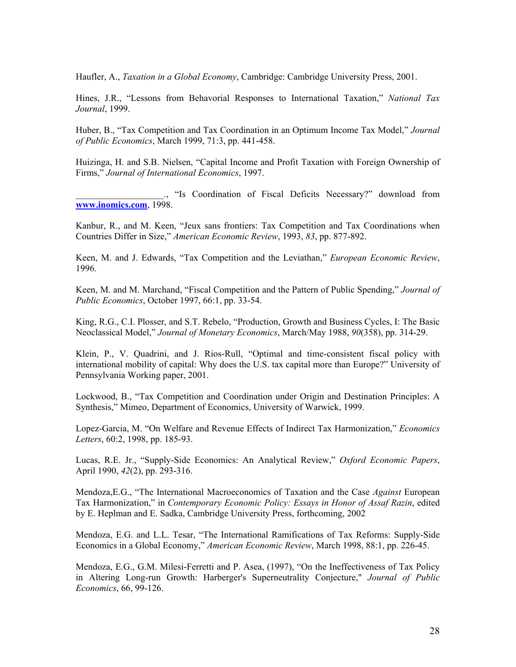Haufler, A., *Taxation in a Global Economy*, Cambridge: Cambridge University Press, 2001.

Hines, J.R., "Lessons from Behavorial Responses to International Taxation," *National Tax Journal*, 1999.

Huber, B., "Tax Competition and Tax Coordination in an Optimum Income Tax Model," *Journal of Public Economics*, March 1999, 71:3, pp. 441-458.

Huizinga, H. and S.B. Nielsen, "Capital Income and Profit Taxation with Foreign Ownership of Firms," *Journal of International Economics*, 1997.

\_\_\_\_\_\_\_\_\_\_\_\_\_\_\_\_\_\_\_., "Is Coordination of Fiscal Deficits Necessary?" download from **[www.inomics.com](http://www.inomics.com/)**, 1998.

Kanbur, R., and M. Keen, "Jeux sans frontiers: Tax Competition and Tax Coordinations when Countries Differ in Size," *American Economic Review*, 1993, *83*, pp. 877-892.

Keen, M. and J. Edwards, "Tax Competition and the Leviathan," *European Economic Review*, 1996.

Keen, M. and M. Marchand, "Fiscal Competition and the Pattern of Public Spending," *Journal of Public Economics*, October 1997, 66:1, pp. 33-54.

King, R.G., C.I. Plosser, and S.T. Rebelo, "Production, Growth and Business Cycles, I: The Basic Neoclassical Model," *Journal of Monetary Economics*, March/May 1988, *90*(358), pp. 314-29.

Klein, P., V. Quadrini, and J. Rios-Rull, "Optimal and time-consistent fiscal policy with international mobility of capital: Why does the U.S. tax capital more than Europe?" University of Pennsylvania Working paper, 2001.

Lockwood, B., "Tax Competition and Coordination under Origin and Destination Principles: A Synthesis," Mimeo, Department of Economics, University of Warwick, 1999.

Lopez-Garcia, M. "On Welfare and Revenue Effects of Indirect Tax Harmonization," *Economics Letters*, 60:2, 1998, pp. 185-93.

Lucas, R.E. Jr., "Supply-Side Economics: An Analytical Review," *Oxford Economic Papers*, April 1990, *42*(2), pp. 293-316.

Mendoza,E.G., "The International Macroeconomics of Taxation and the Case *Against* European Tax Harmonization," in *Contemporary Economic Policy: Essays in Honor of Assaf Razin*, edited by E. Heplman and E. Sadka, Cambridge University Press, forthcoming, 2002

Mendoza, E.G. and L.L. Tesar, "The International Ramifications of Tax Reforms: Supply-Side Economics in a Global Economy," *American Economic Review*, March 1998, 88:1, pp. 226-45.

Mendoza, E.G., G.M. Milesi-Ferretti and P. Asea, (1997), "On the Ineffectiveness of Tax Policy in Altering Long-run Growth: Harberger's Superneutrality Conjecture," *Journal of Public Economics*, 66, 99-126.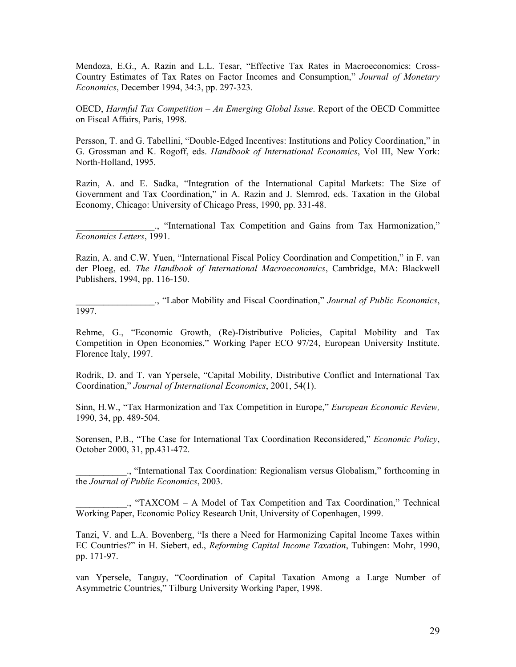Mendoza, E.G., A. Razin and L.L. Tesar, "Effective Tax Rates in Macroeconomics: Cross-Country Estimates of Tax Rates on Factor Incomes and Consumption," *Journal of Monetary Economics*, December 1994, 34:3, pp. 297-323.

OECD, *Harmful Tax Competition – An Emerging Global Issue*. Report of the OECD Committee on Fiscal Affairs, Paris, 1998.

Persson, T. and G. Tabellini, "Double-Edged Incentives: Institutions and Policy Coordination," in G. Grossman and K. Rogoff, eds. *Handbook of International Economics*, Vol III, New York: North-Holland, 1995.

Razin, A. and E. Sadka, "Integration of the International Capital Markets: The Size of Government and Tax Coordination," in A. Razin and J. Slemrod, eds. Taxation in the Global Economy, Chicago: University of Chicago Press, 1990, pp. 331-48.

., "International Tax Competition and Gains from Tax Harmonization," *Economics Letters*, 1991.

Razin, A. and C.W. Yuen, "International Fiscal Policy Coordination and Competition," in F. van der Ploeg, ed. *The Handbook of International Macroeconomics*, Cambridge, MA: Blackwell Publishers, 1994, pp. 116-150.

\_\_\_\_\_\_\_\_\_\_\_\_\_\_\_\_\_., "Labor Mobility and Fiscal Coordination," *Journal of Public Economics*, 1997.

Rehme, G., "Economic Growth, (Re)-Distributive Policies, Capital Mobility and Tax Competition in Open Economies," Working Paper ECO 97/24, European University Institute. Florence Italy, 1997.

Rodrik, D. and T. van Ypersele, "Capital Mobility, Distributive Conflict and International Tax Coordination," *Journal of International Economics*, 2001, 54(1).

Sinn, H.W., "Tax Harmonization and Tax Competition in Europe," *European Economic Review,* 1990, 34, pp. 489-504.

Sorensen, P.B., "The Case for International Tax Coordination Reconsidered," *Economic Policy*, October 2000, 31, pp.431-472.

\_\_\_\_\_\_\_\_\_\_\_., "International Tax Coordination: Regionalism versus Globalism," forthcoming in the *Journal of Public Economics*, 2003.

\_\_\_\_\_\_\_\_\_\_\_., "TAXCOM – A Model of Tax Competition and Tax Coordination," Technical Working Paper, Economic Policy Research Unit, University of Copenhagen, 1999.

Tanzi, V. and L.A. Bovenberg, "Is there a Need for Harmonizing Capital Income Taxes within EC Countries?" in H. Siebert, ed., *Reforming Capital Income Taxation*, Tubingen: Mohr, 1990, pp. 171-97.

van Ypersele, Tanguy, "Coordination of Capital Taxation Among a Large Number of Asymmetric Countries," Tilburg University Working Paper, 1998.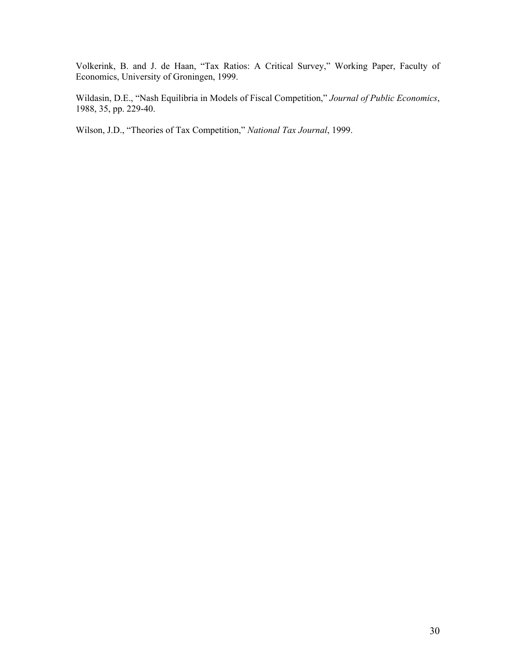Volkerink, B. and J. de Haan, "Tax Ratios: A Critical Survey," Working Paper, Faculty of Economics, University of Groningen, 1999.

Wildasin, D.E., "Nash Equilibria in Models of Fiscal Competition," *Journal of Public Economics*, 1988, 35, pp. 229-40.

Wilson, J.D., "Theories of Tax Competition," *National Tax Journal*, 1999.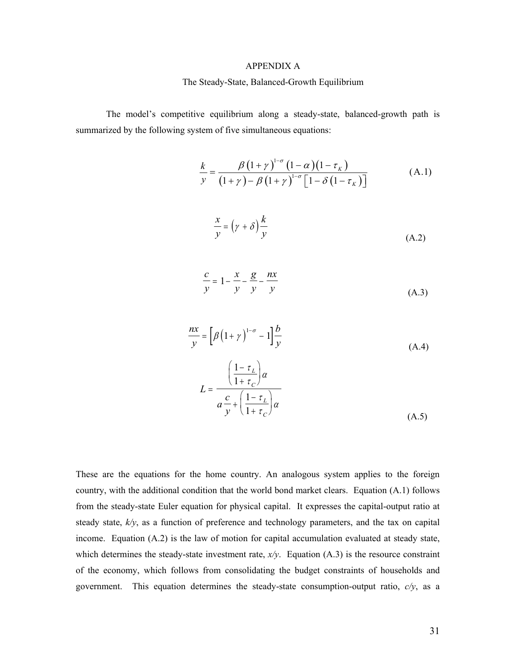### APPENDIX A

#### The Steady-State, Balanced-Growth Equilibrium

The model's competitive equilibrium along a steady-state, balanced-growth path is summarized by the following system of five simultaneous equations:

$$
\frac{k}{y} = \frac{\beta \left(1+\gamma\right)^{1-\sigma} \left(1-\alpha\right) \left(1-\tau_{\kappa}\right)}{\left(1+\gamma\right) - \beta \left(1+\gamma\right)^{1-\sigma} \left[1-\delta \left(1-\tau_{\kappa}\right)\right]}
$$
(A.1)

$$
\frac{x}{y} = (\gamma + \delta) \frac{k}{y}
$$
 (A.2)

$$
\frac{c}{y} = 1 - \frac{x}{y} - \frac{g}{y} - \frac{nx}{y}
$$
\n(A.3)

$$
\frac{nx}{y} = \left[\beta\left(1+\gamma\right)^{1-\sigma} - 1\right]\frac{b}{y}
$$
\n
$$
L = \frac{\left(\frac{1-\tau_L}{1+\tau_C}\right)\alpha}{\alpha\frac{c}{y} + \left(\frac{1-\tau_L}{1+\tau_C}\right)\alpha}
$$
\n(A.4)

These are the equations for the home country. An analogous system applies to the foreign country, with the additional condition that the world bond market clears. Equation (A.1) follows from the steady-state Euler equation for physical capital. It expresses the capital-output ratio at steady state, *k/y*, as a function of preference and technology parameters, and the tax on capital income. Equation (A.2) is the law of motion for capital accumulation evaluated at steady state, which determines the steady-state investment rate,  $x/y$ . Equation (A.3) is the resource constraint of the economy, which follows from consolidating the budget constraints of households and government. This equation determines the steady-state consumption-output ratio, *c/y*, as a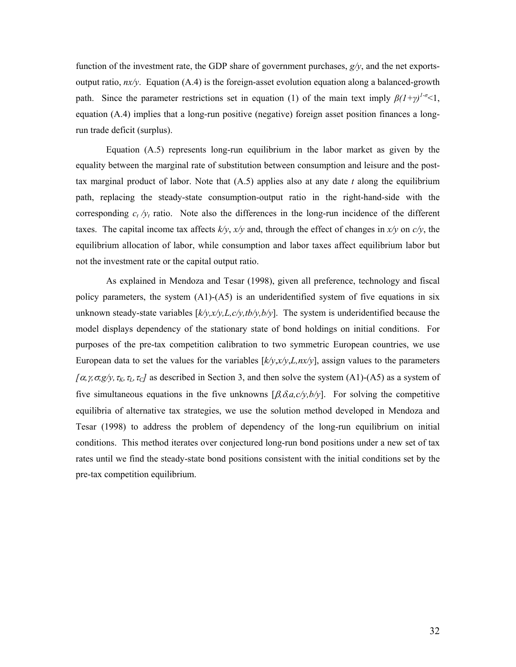function of the investment rate, the GDP share of government purchases, *g/y*, and the net exportsoutput ratio,  $n x/y$ . Equation (A.4) is the foreign-asset evolution equation along a balanced-growth path. Since the parameter restrictions set in equation (1) of the main text imply  $\beta(1+\gamma)^{1-\sigma}$ <1, equation (A.4) implies that a long-run positive (negative) foreign asset position finances a longrun trade deficit (surplus).

Equation (A.5) represents long-run equilibrium in the labor market as given by the equality between the marginal rate of substitution between consumption and leisure and the posttax marginal product of labor. Note that (A.5) applies also at any date *t* along the equilibrium path, replacing the steady-state consumption-output ratio in the right-hand-side with the corresponding  $c_t / y_t$  ratio. Note also the differences in the long-run incidence of the different taxes. The capital income tax affects  $k/y$ ,  $x/y$  and, through the effect of changes in  $x/y$  on  $c/y$ , the equilibrium allocation of labor, while consumption and labor taxes affect equilibrium labor but not the investment rate or the capital output ratio.

As explained in Mendoza and Tesar (1998), given all preference, technology and fiscal policy parameters, the system  $(A1)$ - $(A5)$  is an underidentified system of five equations in six unknown steady-state variables  $[k/\gamma, x/\gamma, L, c/\gamma, tb/\gamma, b/\gamma]$ . The system is underidentified because the model displays dependency of the stationary state of bond holdings on initial conditions. For purposes of the pre-tax competition calibration to two symmetric European countries, we use European data to set the values for the variables  $[k/y, x/y, L, nx/y]$ , assign values to the parameters  $[\alpha, \gamma, \sigma, g/\gamma, \tau_K, \tau_L, \tau_C]$  as described in Section 3, and then solve the system (A1)-(A5) as a system of five simultaneous equations in the five unknowns  $[\beta, \delta, a, c/y, b/y]$ . For solving the competitive equilibria of alternative tax strategies, we use the solution method developed in Mendoza and Tesar (1998) to address the problem of dependency of the long-run equilibrium on initial conditions. This method iterates over conjectured long-run bond positions under a new set of tax rates until we find the steady-state bond positions consistent with the initial conditions set by the pre-tax competition equilibrium.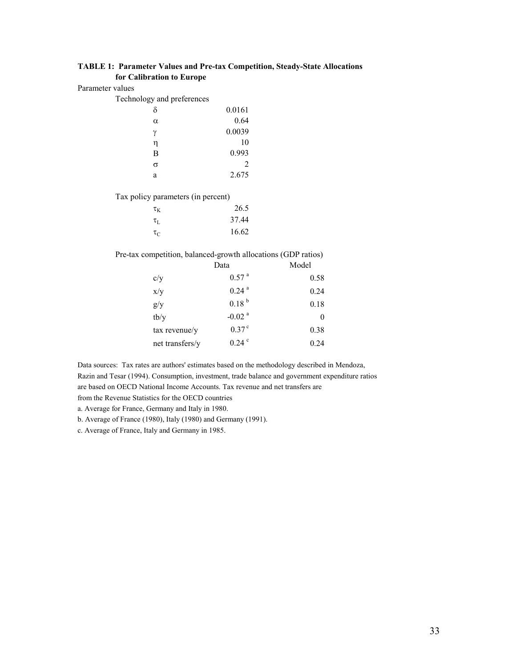### **TABLE 1: Parameter Values and Pre-tax Competition, Steady-State Allocations for Calibration to Europe**

# Parameter values

Technology and preferences

| 0.0161 |    |
|--------|----|
| 0.64   |    |
| 0.0039 |    |
|        | 10 |
| 0.993  |    |
|        | 2  |
| 2.675  |    |
|        |    |

Tax policy parameters (in percent)

| $\tau_{\rm K}$ | 26.5  |
|----------------|-------|
| $\tau_{\rm L}$ | 37.44 |
| $\tau_{\rm C}$ | 16.62 |

Pre-tax competition, balanced-growth allocations (GDP ratios)

|                 | Data                 | Model    |  |
|-----------------|----------------------|----------|--|
| c/y             | $0.57$ <sup>a</sup>  | 0.58     |  |
| x/y             | $0.24$ <sup>a</sup>  | 0.24     |  |
| g/y             | 0.18 <sup>b</sup>    | 0.18     |  |
| tb/y            | $-0.02$ <sup>a</sup> | $\theta$ |  |
| tax revenue/y   | $0.37^{\circ}$       | 0.38     |  |
| net transfers/y | $0.24$ $\degree$     | 0.24     |  |

Data sources: Tax rates are authors' estimates based on the methodology described in Mendoza, Razin and Tesar (1994). Consumption, investment, trade balance and government expenditure ratios are based on OECD National Income Accounts. Tax revenue and net transfers are

from the Revenue Statistics for the OECD countries a. Average for France, Germany and Italy in 1980.

b. Average of France (1980), Italy (1980) and Germany (1991).

c. Average of France, Italy and Germany in 1985.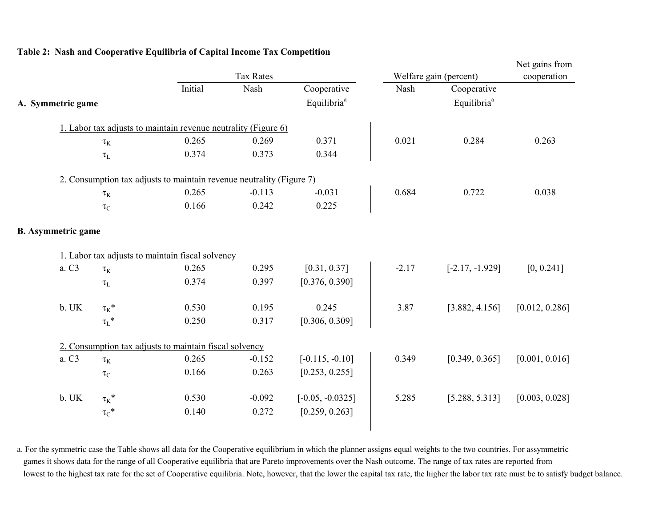|       |                |                                                                                |          |                                                                                                                                 |                                                                                                                                                                                  |                   | Net gains from                                                   |
|-------|----------------|--------------------------------------------------------------------------------|----------|---------------------------------------------------------------------------------------------------------------------------------|----------------------------------------------------------------------------------------------------------------------------------------------------------------------------------|-------------------|------------------------------------------------------------------|
|       |                |                                                                                |          |                                                                                                                                 |                                                                                                                                                                                  |                   | cooperation                                                      |
|       |                |                                                                                |          |                                                                                                                                 |                                                                                                                                                                                  |                   |                                                                  |
|       |                |                                                                                |          |                                                                                                                                 |                                                                                                                                                                                  |                   |                                                                  |
|       |                |                                                                                |          |                                                                                                                                 |                                                                                                                                                                                  |                   |                                                                  |
|       | $\tau_K$       | 0.265                                                                          | 0.269    | 0.371                                                                                                                           | 0.021                                                                                                                                                                            | 0.284             | 0.263                                                            |
|       | $\tau_{\rm L}$ | 0.374                                                                          | 0.373    | 0.344                                                                                                                           |                                                                                                                                                                                  |                   |                                                                  |
|       |                |                                                                                |          |                                                                                                                                 |                                                                                                                                                                                  |                   |                                                                  |
|       | $\tau_K$       | 0.265                                                                          | $-0.113$ | $-0.031$                                                                                                                        | 0.684                                                                                                                                                                            | 0.722             | 0.038                                                            |
|       | $\tau_{\rm C}$ | 0.166                                                                          | 0.242    | 0.225                                                                                                                           |                                                                                                                                                                                  |                   |                                                                  |
|       |                |                                                                                |          |                                                                                                                                 |                                                                                                                                                                                  |                   |                                                                  |
|       |                |                                                                                |          |                                                                                                                                 |                                                                                                                                                                                  |                   |                                                                  |
| a. C3 | $\tau_K$       | 0.265                                                                          | 0.295    | [0.31, 0.37]                                                                                                                    | $-2.17$                                                                                                                                                                          | $[-2.17, -1.929]$ | [0, 0.241]                                                       |
|       | $\tau_{\rm L}$ | 0.374                                                                          | 0.397    | [0.376, 0.390]                                                                                                                  |                                                                                                                                                                                  |                   |                                                                  |
| b. UK |                | 0.530                                                                          | 0.195    | 0.245                                                                                                                           | 3.87                                                                                                                                                                             | [3.882, 4.156]    | [0.012, 0.286]                                                   |
|       | ${\tau_L}^*$   | 0.250                                                                          | 0.317    | [0.306, 0.309]                                                                                                                  |                                                                                                                                                                                  |                   |                                                                  |
|       |                |                                                                                |          |                                                                                                                                 |                                                                                                                                                                                  |                   |                                                                  |
| a. C3 | $\tau_K$       | 0.265                                                                          | $-0.152$ | $[-0.115, -0.10]$                                                                                                               | 0.349                                                                                                                                                                            | [0.349, 0.365]    | [0.001, 0.016]                                                   |
|       | $\tau_{\rm C}$ | 0.166                                                                          | 0.263    | [0.253, 0.255]                                                                                                                  |                                                                                                                                                                                  |                   |                                                                  |
| b. UK |                | 0.530                                                                          | $-0.092$ | $[-0.05, -0.0325]$                                                                                                              | 5.285                                                                                                                                                                            | [5.288, 5.313]    | [0.003, 0.028]                                                   |
|       | $\tau_C$ *     | 0.140                                                                          | 0.272    | [0.259, 0.263]                                                                                                                  |                                                                                                                                                                                  |                   |                                                                  |
|       |                | A. Symmetric game<br><b>B.</b> Asymmetric game<br>${\tau_K}^*$<br>${\tau_K}^*$ | Initial  | Tax Rates<br>Nash<br>1. Labor tax adjusts to maintain fiscal solvency<br>2. Consumption tax adjusts to maintain fiscal solvency | Cooperative<br>Equilibria <sup>a</sup><br>1. Labor tax adjusts to maintain revenue neutrality (Figure 6)<br>2. Consumption tax adjusts to maintain revenue neutrality (Figure 7) | Nash              | Welfare gain (percent)<br>Cooperative<br>Equilibria <sup>a</sup> |

# **Table 2: Nash and Cooperative Equilibria of Capital Income Tax Competition**

a. For the symmetric case the Table shows all data for the Cooperative equilibrium in which the planner assigns equal weights to the two countries. For assymmetric games it shows data for the range of all Cooperative equilibria that are Pareto improvements over the Nash outcome. The range of tax rates are reported from lowest to the highest tax rate for the set of Cooperative equilibria. Note, however, that the lower the capital tax rate, the higher the labor tax rate must be to satisfy budget balance.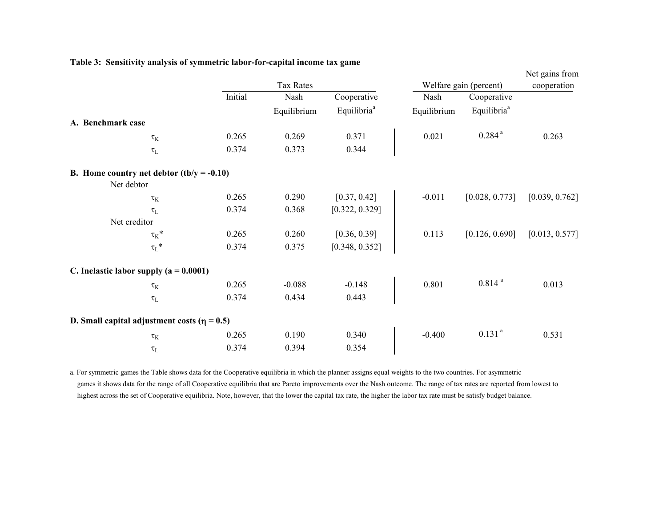|                                                    |         | Tax Rates   |                         |             | Welfare gain (percent)  | Net gains from<br>cooperation |
|----------------------------------------------------|---------|-------------|-------------------------|-------------|-------------------------|-------------------------------|
|                                                    | Initial | Nash        | Cooperative             | Nash        | Cooperative             |                               |
|                                                    |         | Equilibrium | Equilibria <sup>ª</sup> | Equilibrium | Equilibria <sup>ª</sup> |                               |
| A. Benchmark case                                  |         |             |                         |             |                         |                               |
| $\tau_{\rm K}$                                     | 0.265   | 0.269       | 0.371                   | 0.021       | $0.284$ <sup>a</sup>    | 0.263                         |
| $\tau_{\rm L}$                                     | 0.374   | 0.373       | 0.344                   |             |                         |                               |
| <b>B.</b> Home country net debtor $(tb/y = -0.10)$ |         |             |                         |             |                         |                               |
| Net debtor                                         |         |             |                         |             |                         |                               |
| $\tau_{\rm K}$                                     | 0.265   | 0.290       | [0.37, 0.42]            | $-0.011$    | [0.028, 0.773]          | [0.039, 0.762]                |
| $\tau_{\rm L}$                                     | 0.374   | 0.368       | [0.322, 0.329]          |             |                         |                               |
| Net creditor                                       |         |             |                         |             |                         |                               |
| $\tau_K$ *                                         | 0.265   | 0.260       | [0.36, 0.39]            | 0.113       | [0.126, 0.690]          | [0.013, 0.577]                |
| $\tau_L$ *                                         | 0.374   | 0.375       | [0.348, 0.352]          |             |                         |                               |
| C. Inelastic labor supply $(a = 0.0001)$           |         |             |                         |             |                         |                               |
| $\tau_{\rm K}$                                     | 0.265   | $-0.088$    | $-0.148$                | 0.801       | $0.814$ <sup>a</sup>    | 0.013                         |
| $\tau_{\rm L}$                                     | 0.374   | 0.434       | 0.443                   |             |                         |                               |
| D. Small capital adjustment costs $(\eta = 0.5)$   |         |             |                         |             |                         |                               |
| $\tau_{\rm K}$                                     | 0.265   | 0.190       | 0.340                   | $-0.400$    | $0.131$ <sup>a</sup>    | 0.531                         |
| $\tau_{\rm L}$                                     | 0.374   | 0.394       | 0.354                   |             |                         |                               |
|                                                    |         |             |                         |             |                         |                               |

# **Table 3: Sensitivity analysis of symmetric labor-for-capital income tax game**

a. For symmetric games the Table shows data for the Cooperative equilibria in which the planner assigns equal weights to the two countries. For asymmetric games it shows data for the range of all Cooperative equilibria that are Pareto improvements over the Nash outcome. The range of tax rates are reported from lowest to highest across the set of Cooperative equilibria. Note, however, that the lower the capital tax rate, the higher the labor tax rate must be satisfy budget balance.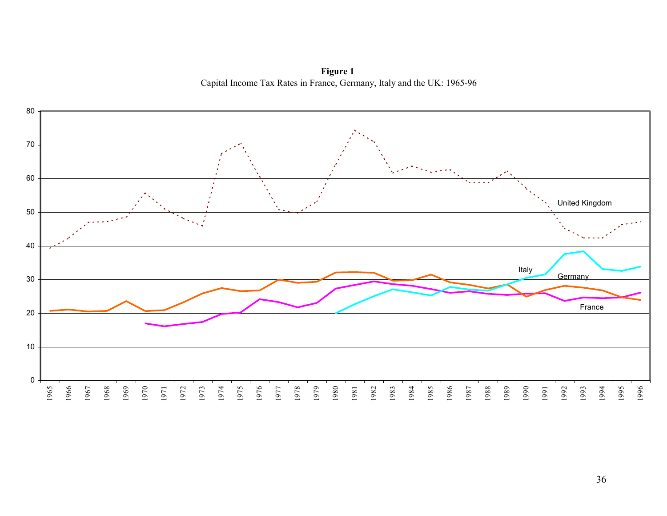**Figure 1** Capital Income Tax Rates in France, Germany, Italy and the UK: 1965-96

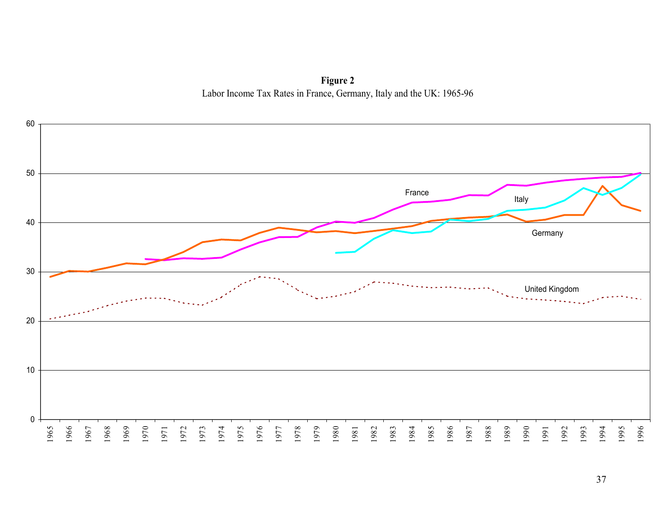**Figure 2** Labor Income Tax Rates in France, Germany, Italy and the UK: 1965-96

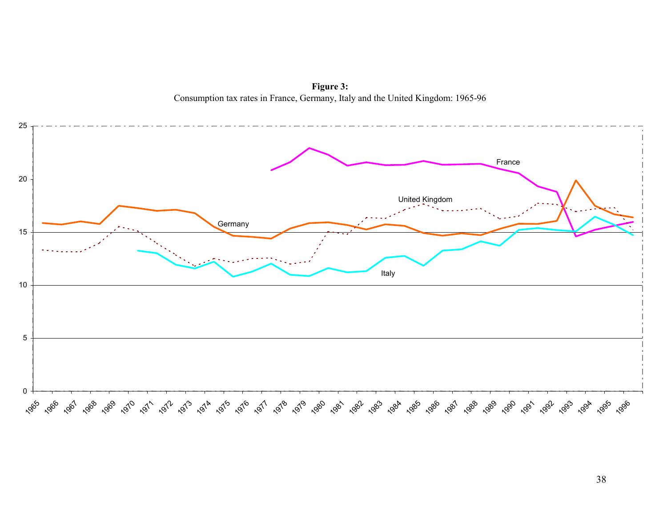**Figure 3:** Consumption tax rates in France, Germany, Italy and the United Kingdom: 1965-96

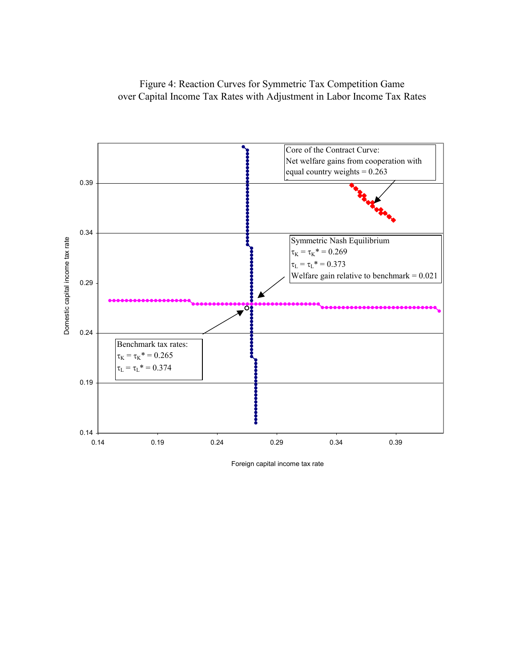# Figure 4: Reaction Curves for Symmetric Tax Competition Game over Capital Income Tax Rates with Adjustment in Labor Income Tax Rates



Foreign capital income tax rate